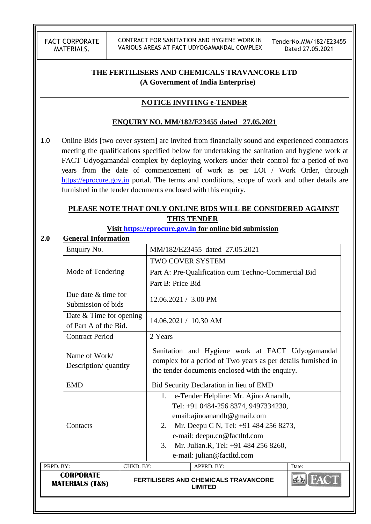CONTRACT FOR SANITATION AND HYGIENE WORK IN VARIOUS AREAS AT FACT UDYOGAMANDAL COMPLEX

# **THE FERTILISERS AND CHEMICALS TRAVANCORE LTD (A Government of India Enterprise)**

## **NOTICE INVITING e-TENDER**

### **ENQUIRY NO. MM/182/E23455 dated 27.05.2021**

1.0 Online Bids [two cover system] are invited from financially sound and experienced contractors meeting the qualifications specified below for undertaking the sanitation and hygiene work at FACT Udyogamandal complex by deploying workers under their control for a period of two years from the date of commencement of work as per LOI / Work Order, through [https://eprocure.gov.in](https://eprocure.gov.in/) portal. The terms and conditions, scope of work and other details are furnished in the tender documents enclosed with this enquiry.

# **PLEASE NOTE THAT ONLY ONLINE BIDS WILL BE CONSIDERED AGAINST THIS TENDER**

### **Visit [https://eprocure.gov.in](https://eprocure.gov.in/) for online bid submission**

#### **2.0 General Information**

|                                                                              | Enquiry No.                                    |                       | MM/182/E23455 dated 27.05.2021 |                                                                                                                                                                                                                                                           |       |
|------------------------------------------------------------------------------|------------------------------------------------|-----------------------|--------------------------------|-----------------------------------------------------------------------------------------------------------------------------------------------------------------------------------------------------------------------------------------------------------|-------|
|                                                                              |                                                |                       | <b>TWO COVER SYSTEM</b>        |                                                                                                                                                                                                                                                           |       |
| Mode of Tendering                                                            |                                                |                       |                                | Part A: Pre-Qualification cum Techno-Commercial Bid                                                                                                                                                                                                       |       |
|                                                                              |                                                |                       | Part B: Price Bid              |                                                                                                                                                                                                                                                           |       |
|                                                                              | Due date & time for<br>Submission of bids      |                       | $12.06.2021 / 3.00 \text{ PM}$ |                                                                                                                                                                                                                                                           |       |
| Date $&$ Time for opening<br>of Part A of the Bid.<br><b>Contract Period</b> |                                                | 14.06.2021 / 10.30 AM |                                |                                                                                                                                                                                                                                                           |       |
|                                                                              |                                                | 2 Years               |                                |                                                                                                                                                                                                                                                           |       |
|                                                                              | Name of Work/<br>Description/ quantity         |                       |                                | Sanitation and Hygiene work at FACT Udyogamandal<br>complex for a period of Two years as per details furnished in<br>the tender documents enclosed with the enquiry.                                                                                      |       |
|                                                                              | <b>EMD</b>                                     |                       |                                | Bid Security Declaration in lieu of EMD                                                                                                                                                                                                                   |       |
|                                                                              | Contacts                                       |                       | 1.<br>2.<br>3.                 | e-Tender Helpline: Mr. Ajino Anandh,<br>Tel: +91 0484-256 8374, 9497334230,<br>email:ajinoanandh@gmail.com<br>Mr. Deepu C N, Tel: +91 484 256 8273,<br>e-mail: deepu.cn@factltd.com<br>Mr. Julian.R, Tel: +91 484 256 8260,<br>e-mail: julian@factltd.com |       |
| PRPD. BY:                                                                    |                                                | CHKD. BY:             |                                | APPRD. BY:                                                                                                                                                                                                                                                | Date: |
|                                                                              | <b>CORPORATE</b><br><b>MATERIALS (T&amp;S)</b> |                       |                                | FERTILISERS AND CHEMICALS TRAVANCORE<br><b>LIMITED</b>                                                                                                                                                                                                    |       |
|                                                                              |                                                |                       |                                |                                                                                                                                                                                                                                                           |       |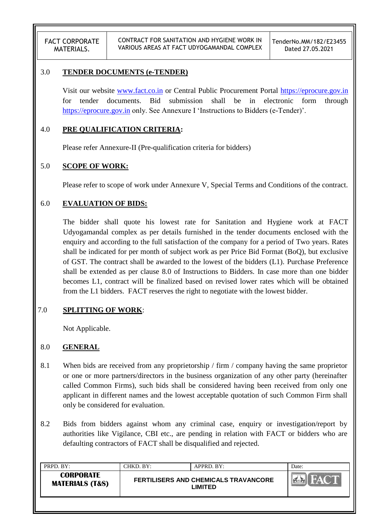### 3.0 **TENDER DOCUMENTS (e-TENDER)**

Visit our website [www.fact.co.in](http://www.fact.co.in/) or Central Public Procurement Portal [https://eprocure.gov.in](https://eprocure.gov.in/) for tender documents. Bid submission shall be in electronic form through [https://eprocure.gov.in](https://eprocure.gov.in/) only. See Annexure I 'Instructions to Bidders (e-Tender)'.

### 4.0 **PRE QUALIFICATION CRITERIA:**

Please refer Annexure-II (Pre-qualification criteria for bidders)

### 5.0 **SCOPE OF WORK:**

Please refer to scope of work under Annexure V, Special Terms and Conditions of the contract.

### 6.0 **EVALUATION OF BIDS:**

The bidder shall quote his lowest rate for Sanitation and Hygiene work at FACT Udyogamandal complex as per details furnished in the tender documents enclosed with the enquiry and according to the full satisfaction of the company for a period of Two years. Rates shall be indicated for per month of subject work as per Price Bid Format (BoQ), but exclusive of GST. The contract shall be awarded to the lowest of the bidders (L1). Purchase Preference shall be extended as per clause 8.0 of Instructions to Bidders. In case more than one bidder becomes L1, contract will be finalized based on revised lower rates which will be obtained from the L1 bidders. FACT reserves the right to negotiate with the lowest bidder.

### 7.0 **SPLITTING OF WORK**:

Not Applicable.

### 8.0 **GENERAL**

- 8.1 When bids are received from any proprietorship / firm / company having the same proprietor or one or more partners/directors in the business organization of any other party (hereinafter called Common Firms), such bids shall be considered having been received from only one applicant in different names and the lowest acceptable quotation of such Common Firm shall only be considered for evaluation.
- 8.2 Bids from bidders against whom any criminal case, enquiry or investigation/report by authorities like Vigilance, CBI etc., are pending in relation with FACT or bidders who are defaulting contractors of FACT shall be disqualified and rejected.

| PRPD. BY:                                      | CHKD. BY: | APPRD. BY:                                             | Date: |
|------------------------------------------------|-----------|--------------------------------------------------------|-------|
| <b>CORPORATE</b><br><b>MATERIALS (T&amp;S)</b> |           | <b>FERTILISERS AND CHEMICALS TRAVANCORE</b><br>LIMITED |       |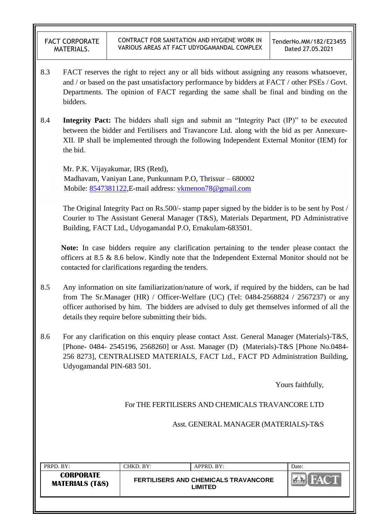- 8.3 FACT reserves the right to reject any or all bids without assigning any reasons whatsoever, and / or based on the past unsatisfactory performance by bidders at FACT / other PSEs / Govt. Departments. The opinion of FACT regarding the same shall be final and binding on the bidders.
- 8.4 **Integrity Pact:** The bidders shall sign and submit an "Integrity Pact (IP)" to be executed between the bidder and Fertilisers and Travancore Ltd. along with the bid as per Annexure-XII. IP shall be implemented through the following Independent External Monitor (IEM) for the bid.

Mr. P.K. Vijayakumar, IRS (Retd), Madhavam, Vaniyan Lane, Punkunnam P.O, Thrissur – 680002 Mobile: [8547381122,](callto:8547381122)E-mail address: [vkmenon78@gmail.com](mailto:vkmenon78@gmail.com)

The Original Integrity Pact on Rs.500/- stamp paper signed by the bidder is to be sent by Post / Courier to The Assistant General Manager (T&S), Materials Department, PD Administrative Building, FACT Ltd., Udyogamandal P.O, Ernakulam-683501.

**Note:** In case bidders require any clarification pertaining to the tender please contact the officers at 8.5 & 8.6 below. Kindly note that the Independent External Monitor should not be contacted for clarifications regarding the tenders.

- 8.5 Any information on site familiarization/nature of work, if required by the bidders, can be had from The Sr.Manager (HR) / Officer-Welfare (UC) (Tel:  $0484-2568824$  / 2567237) or any officer authorised by him. The bidders are advised to duly get themselves informed of all the details they require before submitting their bids.
- 8.6 For any clarification on this enquiry please contact Asst. General Manager (Materials)-T&S, [Phone- 0484- 2545196, 2568260] or Asst. Manager (D) (Materials)-T&S [Phone No.0484- 256 8273], CENTRALISED MATERIALS, FACT Ltd., FACT PD Administration Building, Udyogamandal PIN-683 501.

Yours faithfully,

For THE FERTILISERS AND CHEMICALS TRAVANCORE LTD

Asst. GENERAL MANAGER (MATERIALS)-T&S

| PRPD. BY:                                      | CHKD. BY: | APPRD. BY:                                      | Date: |
|------------------------------------------------|-----------|-------------------------------------------------|-------|
| <b>CORPORATE</b><br><b>MATERIALS (T&amp;S)</b> |           | FERTILISERS AND CHEMICALS TRAVANCORE<br>LIMITED |       |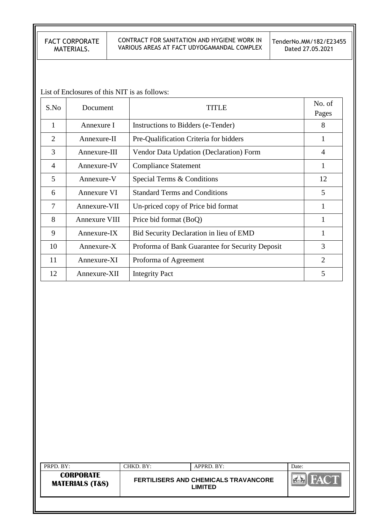#### CONTRACT FOR SANITATION AND HYGIENE WORK IN VARIOUS AREAS AT FACT UDYOGAMANDAL COMPLEX

TenderNo.MM/182/E23455 Dated 27.05.2021

List of Enclosures of this NIT is as follows:

| S.No | Document      | TITLE                                           | No. of<br>Pages |
|------|---------------|-------------------------------------------------|-----------------|
| 1    | Annexure I    | Instructions to Bidders (e-Tender)              | 8               |
| 2    | Annexure-II   | Pre-Qualification Criteria for bidders          | 1               |
| 3    | Annexure-III  | Vendor Data Updation (Declaration) Form         | 4               |
| 4    | Annexure-IV   | <b>Compliance Statement</b>                     | 1               |
| 5    | Annexure-V    | Special Terms & Conditions                      | 12              |
| 6    | Annexure VI   | <b>Standard Terms and Conditions</b>            | 5               |
| 7    | Annexure-VII  | Un-priced copy of Price bid format              | 1               |
| 8    | Annexure VIII | Price bid format (BoQ)                          | 1               |
| 9    | Annexure-IX   | Bid Security Declaration in lieu of EMD         | 1               |
| 10   | Annexure-X    | Proforma of Bank Guarantee for Security Deposit | 3               |
| 11   | Annexure-XI   | Proforma of Agreement                           | $\overline{2}$  |
| 12   | Annexure-XII  | <b>Integrity Pact</b>                           | 5               |

| PRPD. BY:                                      | CHKD. BY: | APPRD. BY:                                             | Date: |
|------------------------------------------------|-----------|--------------------------------------------------------|-------|
| <b>CORPORATE</b><br><b>MATERIALS (T&amp;S)</b> |           | <b>FERTILISERS AND CHEMICALS TRAVANCORE</b><br>LIMITED |       |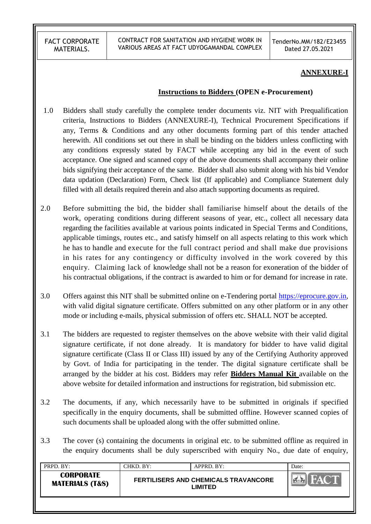CONTRACT FOR SANITATION AND HYGIENE WORK IN VARIOUS AREAS AT FACT UDYOGAMANDAL COMPLEX

TenderNo.MM/182/E23455 Dated 27.05.2021

#### **ANNEXURE-I**

#### **Instructions to Bidders (OPEN e-Procurement)**

- 1.0 Bidders shall study carefully the complete tender documents viz. NIT with Prequalification criteria, Instructions to Bidders (ANNEXURE-I), Technical Procurement Specifications if any, Terms & Conditions and any other documents forming part of this tender attached herewith. All conditions set out there in shall be binding on the bidders unless conflicting with any conditions expressly stated by FACT while accepting any bid in the event of such acceptance. One signed and scanned copy of the above documents shall accompany their online bids signifying their acceptance of the same. Bidder shall also submit along with his bid Vendor data updation (Declaration) Form, Check list (If applicable) and Compliance Statement duly filled with all details required therein and also attach supporting documents as required.
- 2.0 Before submitting the bid, the bidder shall familiarise himself about the details of the work, operating conditions during different seasons of year, etc., collect all necessary data regarding the facilities available at various points indicated in Special Terms and Conditions, applicable timings, routes etc., and satisfy himself on all aspects relating to this work which he has to handle and execute for the full contract period and shall make due provisions in his rates for any contingency or difficulty involved in the work covered by this enquiry. Claiming lack of knowledge shall not be a reason for exoneration of the bidder of his contractual obligations, if the contract is awarded to him or for demand for increase in rate.
- 3.0 Offers against this NIT shall be submitted online on e-Tendering portal [https://eprocure.gov.in,](https://eprocure.gov.in/) with valid digital signature certificate. Offers submitted on any other platform or in any other mode or including e-mails, physical submission of offers etc. SHALL NOT be accepted.
- 3.1 The bidders are requested to register themselves on the above website with their valid digital signature certificate, if not done already. It is mandatory for bidder to have valid digital signature certificate (Class II or Class III) issued by any of the Certifying Authority approved by Govt. of India for participating in the tender. The digital signature certificate shall be arranged by the bidder at his cost. Bidders may refer **Bidders Manual Kit** available on the above website for detailed information and instructions for registration, bid submission etc.
- 3.2 The documents, if any, which necessarily have to be submitted in originals if specified specifically in the enquiry documents, shall be submitted offline. However scanned copies of such documents shall be uploaded along with the offer submitted online.
- 3.3 The cover (s) containing the documents in original etc. to be submitted offline as required in the enquiry documents shall be duly superscribed with enquiry No., due date of enquiry,

| <b>CORPORATE</b><br><b>FAX</b><br><b>FERTILISERS AND CHEMICALS TRAVANCORE</b><br><b>MATERIALS (T&amp;S)</b><br><b>LIMITED</b> | PRPD. BY: | CHKD. BY: | APPRD. BY: | Date: |
|-------------------------------------------------------------------------------------------------------------------------------|-----------|-----------|------------|-------|
|                                                                                                                               |           |           |            |       |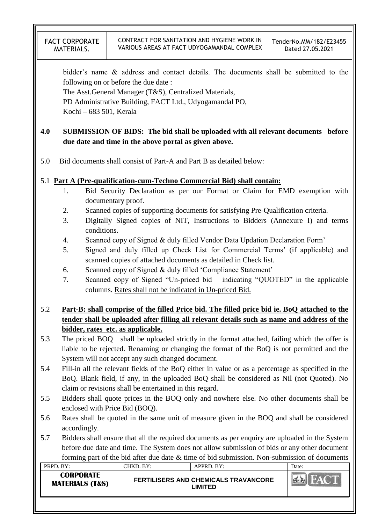bidder"s name & address and contact details. The documents shall be submitted to the following on or before the due date :

The Asst.General Manager (T&S), Centralized Materials,

PD Administrative Building, FACT Ltd., Udyogamandal PO, Kochi – 683 501, Kerala

# **4.0 SUBMISSION OF BIDS: The bid shall be uploaded with all relevant documents before due date and time in the above portal as given above.**

5.0 Bid documents shall consist of Part-A and Part B as detailed below:

# 5.1 **Part A (Pre-qualification-cum-Techno Commercial Bid) shall contain:**

- 1. Bid Security Declaration as per our Format or Claim for EMD exemption with documentary proof.
- 2. Scanned copies of supporting documents for satisfying Pre-Qualification criteria.
- 3. Digitally Signed copies of NIT, Instructions to Bidders (Annexure I) and terms conditions.
- 4. Scanned copy of Signed & duly filled Vendor Data Updation Declaration Form"
- 5. Signed and duly filled up Check List for Commercial Terms" (if applicable) and scanned copies of attached documents as detailed in Check list.
- 6. Scanned copy of Signed & duly filled "Compliance Statement"
- 7. Scanned copy of Signed "Un-priced bid indicating "QUOTED" in the applicable columns. Rates shall not be indicated in Un-priced Bid.

# 5.2 **Part-B: shall comprise of the filled Price bid. The filled price bid ie. BoQ attached to the tender shall be uploaded after filling all relevant details such as name and address of the bidder, rates etc. as applicable.**

- 5.3 The priced BOQ shall be uploaded strictly in the format attached, failing which the offer is liable to be rejected. Renaming or changing the format of the BoQ is not permitted and the System will not accept any such changed document.
- 5.4 Fill-in all the relevant fields of the BoQ either in value or as a percentage as specified in the BoQ. Blank field, if any, in the uploaded BoQ shall be considered as Nil (not Quoted). No claim or revisions shall be entertained in this regard.
- 5.5 Bidders shall quote prices in the BOQ only and nowhere else. No other documents shall be enclosed with Price Bid (BOQ).
- 5.6 Rates shall be quoted in the same unit of measure given in the BOQ and shall be considered accordingly.
- 5.7 Bidders shall ensure that all the required documents as per enquiry are uploaded in the System before due date and time. The System does not allow submission of bids or any other document forming part of the bid after due date & time of bid submission. Non-submission of documents

| PRPD. BY:                                      | CHKD. BY: | APPRD. BY:                                                    | Date: |
|------------------------------------------------|-----------|---------------------------------------------------------------|-------|
| <b>CORPORATE</b><br><b>MATERIALS (T&amp;S)</b> |           | <b>FERTILISERS AND CHEMICALS TRAVANCORE</b><br><b>.IMITED</b> |       |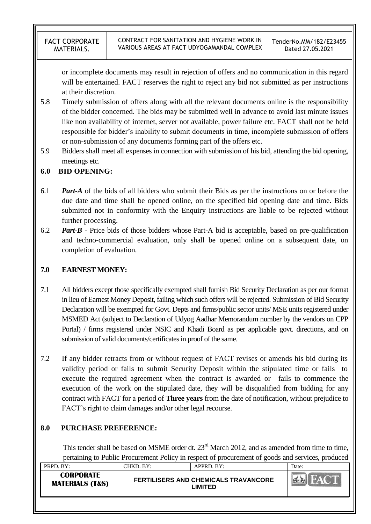or incomplete documents may result in rejection of offers and no communication in this regard will be entertained. FACT reserves the right to reject any bid not submitted as per instructions at their discretion.

- 5.8 Timely submission of offers along with all the relevant documents online is the responsibility of the bidder concerned. The bids may be submitted well in advance to avoid last minute issues like non availability of internet, server not available, power failure etc. FACT shall not be held responsible for bidder"s inability to submit documents in time, incomplete submission of offers or non-submission of any documents forming part of the offers etc.
- 5.9 Bidders shall meet all expenses in connection with submission of his bid, attending the bid opening, meetings etc.

# **6.0 BID OPENING:**

- 6.1 *Part-A* of the bids of all bidders who submit their Bids as per the instructions on or before the due date and time shall be opened online, on the specified bid opening date and time. Bids submitted not in conformity with the Enquiry instructions are liable to be rejected without further processing.
- 6.2 *Part-B* Price bids of those bidders whose Part-A bid is acceptable, based on pre-qualification and techno-commercial evaluation, only shall be opened online on a subsequent date, on completion of evaluation.

# **7.0 EARNEST MONEY:**

- 7.1 All bidders except those specifically exempted shall furnish Bid Security Declaration as per our format in lieu of Earnest Money Deposit, failing which such offers will be rejected. Submission of Bid Security Declaration will be exempted for Govt. Depts and firms/public sector units/ MSE units registered under MSMED Act (subject to Declaration of Udyog Aadhar Memorandum number by the vendors on CPP Portal) / firms registered under NSIC and Khadi Board as per applicable govt. directions, and on submission of valid documents/certificates in proof of the same.
- 7.2 If any bidder retracts from or without request of FACT revises or amends his bid during its validity period or fails to submit Security Deposit within the stipulated time or fails to execute the required agreement when the contract is awarded or fails to commence the execution of the work on the stipulated date, they will be disqualified from bidding for any contract with FACT for a period of **Three years** from the date of notification, without prejudice to FACT"s right to claim damages and/or other legal recourse.

# **8.0 PURCHASE PREFERENCE:**

This tender shall be based on MSME order dt. 23<sup>rd</sup> March 2012, and as amended from time to time, pertaining to Public Procurement Policy in respect of procurement of goods and services, produced

| PRPD. BY:                                      | CHKD. BY: | APPRD. BY:                                             | Date: |
|------------------------------------------------|-----------|--------------------------------------------------------|-------|
| <b>CORPORATE</b><br><b>MATERIALS (T&amp;S)</b> |           | <b>FERTILISERS AND CHEMICALS TRAVANCORE</b><br>_IMITED |       |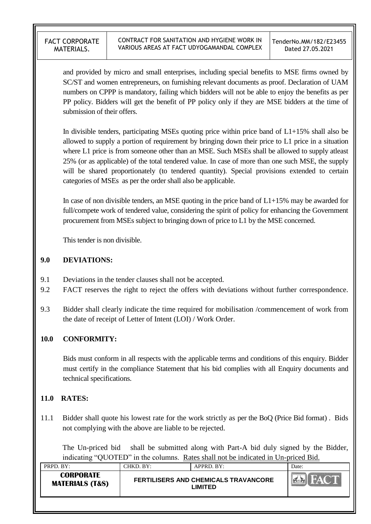and provided by micro and small enterprises, including special benefits to MSE firms owned by SC/ST and women entrepreneurs, on furnishing relevant documents as proof. Declaration of UAM numbers on CPPP is mandatory, failing which bidders will not be able to enjoy the benefits as per PP policy. Bidders will get the benefit of PP policy only if they are MSE bidders at the time of submission of their offers.

In divisible tenders, participating MSEs quoting price within price band of L1+15% shall also be allowed to supply a portion of requirement by bringing down their price to L1 price in a situation where L1 price is from someone other than an MSE. Such MSEs shall be allowed to supply atleast 25% (or as applicable) of the total tendered value. In case of more than one such MSE, the supply will be shared proportionately (to tendered quantity). Special provisions extended to certain categories of MSEs as per the order shall also be applicable.

In case of non divisible tenders, an MSE quoting in the price band of  $L1+15\%$  may be awarded for full/compete work of tendered value, considering the spirit of policy for enhancing the Government procurement from MSEs subject to bringing down of price to L1 by the MSE concerned.

This tender is non divisible.

## **9.0 DEVIATIONS:**

- 9.1 Deviations in the tender clauses shall not be accepted.
- 9.2 FACT reserves the right to reject the offers with deviations without further correspondence.
- 9.3 Bidder shall clearly indicate the time required for mobilisation /commencement of work from the date of receipt of Letter of Intent (LOI) / Work Order.

# **10.0 CONFORMITY:**

Bids must conform in all respects with the applicable terms and conditions of this enquiry. Bidder must certify in the compliance Statement that his bid complies with all Enquiry documents and technical specifications.

# **11.0 RATES:**

11.1 Bidder shall quote his lowest rate for the work strictly as per the BoQ (Price Bid format) . Bids not complying with the above are liable to be rejected.

The Un-priced bid shall be submitted along with Part-A bid duly signed by the Bidder, indicating "QUOTED" in the columns. Rates shall not be indicated in Un-priced Bid.

| PRPD. BY:                                      | CHKD. BY: | APPRD. BY:                                             | Date:            |
|------------------------------------------------|-----------|--------------------------------------------------------|------------------|
| <b>CORPORATE</b><br><b>MATERIALS (T&amp;S)</b> |           | <b>FERTILISERS AND CHEMICALS TRAVANCORE</b><br>LIMITED | HAC <sup>+</sup> |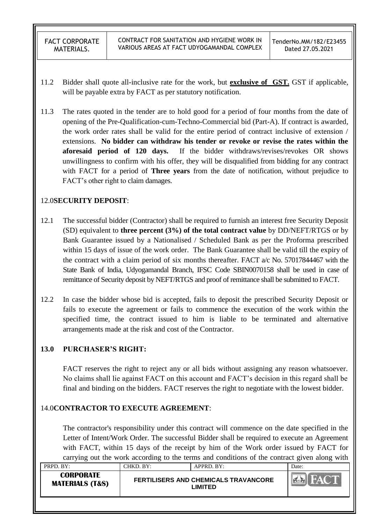- 11.2 Bidder shall quote all-inclusive rate for the work, but **exclusive of GST.** GST if applicable, will be payable extra by FACT as per statutory notification.
- 11.3 The rates quoted in the tender are to hold good for a period of four months from the date of opening of the Pre-Qualification-cum-Techno-Commercial bid (Part-A). If contract is awarded, the work order rates shall be valid for the entire period of contract inclusive of extension / extensions. **No bidder can withdraw his tender or revoke or revise the rates within the aforesaid period of 120 days.** If the bidder withdraws/revises/revokes OR shows unwillingness to confirm with his offer, they will be disqualified from bidding for any contract with FACT for a period of **Three years** from the date of notification, without prejudice to FACT"s other right to claim damages.

## 12.0**SECURITY DEPOSIT**:

- 12.1 The successful bidder (Contractor) shall be required to furnish an interest free Security Deposit (SD) equivalent to **three percent (3%) of the total contract value** by DD/NEFT/RTGS or by Bank Guarantee issued by a Nationalised / Scheduled Bank as per the Proforma prescribed within 15 days of issue of the work order. The Bank Guarantee shall be valid till the expiry of the contract with a claim period of six months thereafter. FACT a/c No. 57017844467 with the State Bank of India, Udyogamandal Branch, IFSC Code SBIN0070158 shall be used in case of remittance of Security deposit by NEFT/RTGS and proof of remittance shall be submitted to FACT.
- 12.2 In case the bidder whose bid is accepted, fails to deposit the prescribed Security Deposit or fails to execute the agreement or fails to commence the execution of the work within the specified time, the contract issued to him is liable to be terminated and alternative arrangements made at the risk and cost of the Contractor.

# **13.0 PURCHASER'S RIGHT:**

FACT reserves the right to reject any or all bids without assigning any reason whatsoever. No claims shall lie against FACT on this account and FACT"s decision in this regard shall be final and binding on the bidders. FACT reserves the right to negotiate with the lowest bidder.

# 14.0**CONTRACTOR TO EXECUTE AGREEMENT**:

The contractor's responsibility under this contract will commence on the date specified in the Letter of Intent/Work Order. The successful Bidder shall be required to execute an Agreement with FACT, within 15 days of the receipt by him of the Work order issued by FACT for carrying out the work according to the terms and conditions of the contract given along with

| PRPD. BY:                                      | CHKD. BY:- | $APPRD$ . BY:                                                 | Date: |
|------------------------------------------------|------------|---------------------------------------------------------------|-------|
| <b>CORPORATE</b><br><b>MATERIALS (T&amp;S)</b> |            | <b>FERTILISERS AND CHEMICALS TRAVANCORE</b><br><b>LIMITED</b> | FAL.  |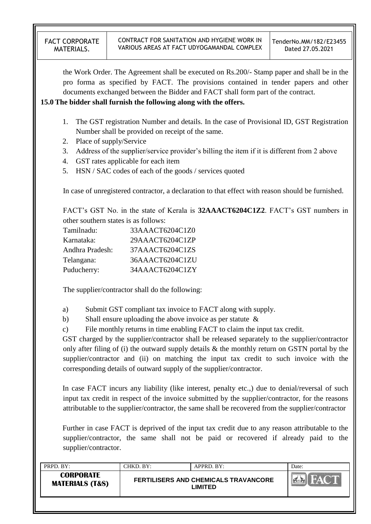the Work Order. The Agreement shall be executed on Rs.200/- Stamp paper and shall be in the pro forma as specified by FACT. The provisions contained in tender papers and other documents exchanged between the Bidder and FACT shall form part of the contract.

### **15.0 The bidder shall furnish the following along with the offers.**

- 1. The GST registration Number and details. In the case of Provisional ID, GST Registration Number shall be provided on receipt of the same.
- 2. Place of supply/Service
- 3. Address of the supplier/service provider's billing the item if it is different from 2 above
- 4. GST rates applicable for each item
- 5. HSN / SAC codes of each of the goods / services quoted

In case of unregistered contractor, a declaration to that effect with reason should be furnished.

FACT"s GST No. in the state of Kerala is **32AAACT6204C1Z2**. FACT"s GST numbers in other southern states is as follows:

| Tamilnadu:      | 33AAACT6204C1Z0 |
|-----------------|-----------------|
| Karnataka:      | 29AAACT6204C1ZP |
| Andhra Pradesh: | 37AAACT6204C1ZS |
| Telangana:      | 36AAACT6204C1ZU |
| Puducherry:     | 34AAACT6204C1ZY |

The supplier/contractor shall do the following:

a) Submit GST compliant tax invoice to FACT along with supply.

b) Shall ensure uploading the above invoice as per statute &

c) File monthly returns in time enabling FACT to claim the input tax credit.

GST charged by the supplier/contractor shall be released separately to the supplier/contractor only after filing of (i) the outward supply details & the monthly return on GSTN portal by the supplier/contractor and (ii) on matching the input tax credit to such invoice with the corresponding details of outward supply of the supplier/contractor.

In case FACT incurs any liability (like interest, penalty etc.,) due to denial/reversal of such input tax credit in respect of the invoice submitted by the supplier/contractor, for the reasons attributable to the supplier/contractor, the same shall be recovered from the supplier/contractor

Further in case FACT is deprived of the input tax credit due to any reason attributable to the supplier/contractor, the same shall not be paid or recovered if already paid to the supplier/contractor.

| PRPD. BY:                                      | CHKD. BY: | APPRD. BY:                                             | Date: |
|------------------------------------------------|-----------|--------------------------------------------------------|-------|
| <b>CORPORATE</b><br><b>MATERIALS (T&amp;S)</b> |           | <b>FERTILISERS AND CHEMICALS TRAVANCORE</b><br>LIMITED |       |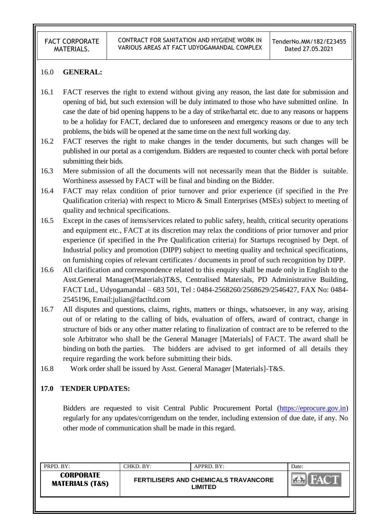#### 16.0 **GENERAL:**

- 16.1 FACT reserves the right to extend without giving any reason, the last date for submission and opening of bid, but such extension will be duly intimated to those who have submitted online. In case the date of bid opening happens to be a day of strike/hartal etc. due to any reasons or happens to be a holiday for FACT, declared due to unforeseen and emergency reasons or due to any tech problems, the bids will be opened at the same time on the next full working day.
- 16.2 FACT reserves the right to make changes in the tender documents, but such changes will be published in our portal as a corrigendum. Bidders are requested to counter check with portal before submitting their bids.
- 16.3 Mere submission of all the documents will not necessarily mean that the Bidder is suitable. Worthiness assessed by FACT will be final and binding on the Bidder.
- 16.4 FACT may relax condition of prior turnover and prior experience (if specified in the Pre Qualification criteria) with respect to Micro & Small Enterprises (MSEs) subject to meeting of quality and technical specifications.
- 16.5 Except in the cases of items/services related to public safety, health, critical security operations and equipment etc., FACT at its discretion may relax the conditions of prior turnover and prior experience (if specified in the Pre Qualification criteria) for Startups recognised by Dept. of Industrial policy and promotion (DIPP) subject to meeting quality and technical specifications, on furnishing copies of relevant certificates / documents in proof of such recognition by DIPP.
- 16.6 All clarification and correspondence related to this enquiry shall be made only in English to the Asst.General Manager(Materials)T&S, Centralised Materials, PD Administrative Building, FACT Ltd., Udyogamandal – 683 501, Tel : 0484-2568260/2568629/2546427, FAX No: 0484- 2545196, Email:julian@factltd.com
- 16.7 All disputes and questions, claims, rights, matters or things, whatsoever, in any way, arising out of or relating to the calling of bids, evaluation of offers, award of contract, change in structure of bids or any other matter relating to finalization of contract are to be referred to the sole Arbitrator who shall be the General Manager [Materials] of FACT. The award shall be binding on both the parties. The bidders are advised to get informed of all details they require regarding the work before submitting their bids.
- 16.8 Work order shall be issued by Asst. General Manager [Materials]-T&S.

#### **17.0 TENDER UPDATES:**

Bidders are requested to visit Central Public Procurement Portal [\(https://eprocure.gov.in\)](https://eprocure.gov.in/) regularly for any updates/corrigendum on the tender, including extension of due date, if any. No other mode of communication shall be made in this regard.

| PRPD. BY:                                      | CHKD. BY: ' | APPRD. BY:                                             | Date: |
|------------------------------------------------|-------------|--------------------------------------------------------|-------|
| <b>CORPORATE</b><br><b>MATERIALS (T&amp;S)</b> |             | <b>FERTILISERS AND CHEMICALS TRAVANCORE</b><br>LIMITED |       |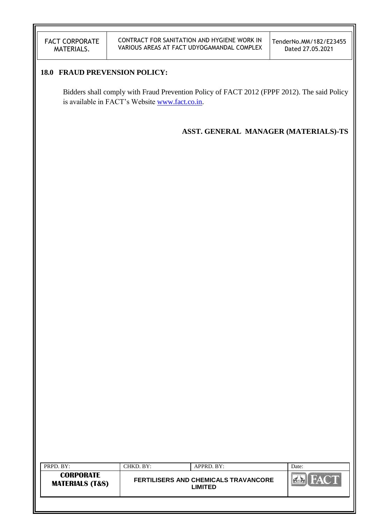## **18.0 FRAUD PREVENSION POLICY:**

Bidders shall comply with Fraud Prevention Policy of FACT 2012 (FPPF 2012). The said Policy is available in FACT's Website [www.fact.co.in.](http://www.fact.co.in/)

**ASST. GENERAL MANAGER (MATERIALS)-TS**

| PRPD. BY:<br>CHKD. BY:                         | $APPRD$ . BY:                                          | Date: |
|------------------------------------------------|--------------------------------------------------------|-------|
| <b>CORPORATE</b><br><b>MATERIALS (T&amp;S)</b> | <b>FERTILISERS AND CHEMICALS TRAVANCORE</b><br>LIMITED |       |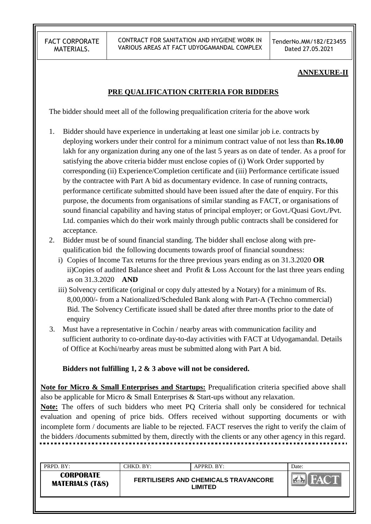CONTRACT FOR SANITATION AND HYGIENE WORK IN VARIOUS AREAS AT FACT UDYOGAMANDAL COMPLEX

TenderNo.MM/182/E23455 Dated 27.05.2021

#### **ANNEXURE-II**

### **PRE QUALIFICATION CRITERIA FOR BIDDERS**

The bidder should meet all of the following prequalification criteria for the above work

- 1. Bidder should have experience in undertaking at least one similar job i.e. contracts by deploying workers under their control for a minimum contract value of not less than **Rs.10.00** lakh for any organization during any one of the last 5 years as on date of tender. As a proof for satisfying the above criteria bidder must enclose copies of (i) Work Order supported by corresponding (ii) Experience/Completion certificate and (iii) Performance certificate issued by the contractee with Part A bid as documentary evidence. In case of running contracts, performance certificate submitted should have been issued after the date of enquiry. For this purpose, the documents from organisations of similar standing as FACT, or organisations of sound financial capability and having status of principal employer; or Govt./Quasi Govt./Pvt. Ltd. companies which do their work mainly through public contracts shall be considered for acceptance.
- 2. Bidder must be of sound financial standing. The bidder shall enclose along with prequalification bid the following documents towards proof of financial soundness:
	- i) Copies of Income Tax returns for the three previous years ending as on 31.3.2020 **OR**  ii)Copies of audited Balance sheet and Profit & Loss Account for the last three years ending as on 31.3.2020 **AND**
	- iii) Solvency certificate (original or copy duly attested by a Notary) for a minimum of Rs. 8,00,000/- from a Nationalized/Scheduled Bank along with Part-A (Techno commercial) Bid. The Solvency Certificate issued shall be dated after three months prior to the date of enquiry
- 3. Must have a representative in Cochin / nearby areas with communication facility and sufficient authority to co-ordinate day-to-day activities with FACT at Udyogamandal. Details of Office at Kochi/nearby areas must be submitted along with Part A bid.

#### **Bidders not fulfilling 1, 2 & 3 above will not be considered.**

**Note for Micro & Small Enterprises and Startups:** Prequalification criteria specified above shall also be applicable for Micro & Small Enterprises & Start-ups without any relaxation.

**Note:** The offers of such bidders who meet PQ Criteria shall only be considered for technical evaluation and opening of price bids. Offers received without supporting documents or with incomplete form / documents are liable to be rejected. FACT reserves the right to verify the claim of the bidders /documents submitted by them, directly with the clients or any other agency in this regard.

| PRPD. BY:                                      | CHKD. BY: | APPRD. BY:                                             | Date: |
|------------------------------------------------|-----------|--------------------------------------------------------|-------|
| <b>CORPORATE</b><br><b>MATERIALS (T&amp;S)</b> |           | <b>FERTILISERS AND CHEMICALS TRAVANCORE</b><br>LIMITED |       |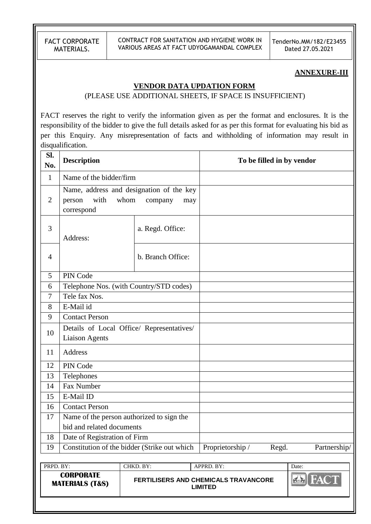CONTRACT FOR SANITATION AND HYGIENE WORK IN VARIOUS AREAS AT FACT UDYOGAMANDAL COMPLEX TenderNo.MM/182/E23455 Dated 27.05.2021

#### **ANNEXURE-III**

#### **VENDOR DATA UPDATION FORM**

(PLEASE USE ADDITIONAL SHEETS, IF SPACE IS INSUFFICIENT)

FACT reserves the right to verify the information given as per the format and enclosures. It is the responsibility of the bidder to give the full details asked for as per this format for evaluating his bid as per this Enquiry. Any misrepresentation of facts and withholding of information may result in disqualification.

| Sl.<br>No.     | <b>Description</b>                                                 |                                                                    |                                                               | To be filled in by vendor |
|----------------|--------------------------------------------------------------------|--------------------------------------------------------------------|---------------------------------------------------------------|---------------------------|
| $\mathbf{1}$   | Name of the bidder/firm                                            |                                                                    |                                                               |                           |
| $\overline{2}$ | with<br>person<br>correspond                                       | Name, address and designation of the key<br>whom<br>company<br>may |                                                               |                           |
| 3              | Address:                                                           | a. Regd. Office:                                                   |                                                               |                           |
| $\overline{4}$ |                                                                    | b. Branch Office:                                                  |                                                               |                           |
| 5              | PIN Code                                                           |                                                                    |                                                               |                           |
| 6              |                                                                    | Telephone Nos. (with Country/STD codes)                            |                                                               |                           |
| $\overline{7}$ | Tele fax Nos.                                                      |                                                                    |                                                               |                           |
| 8              | E-Mail id                                                          |                                                                    |                                                               |                           |
| 9              | <b>Contact Person</b>                                              |                                                                    |                                                               |                           |
| 10             | Details of Local Office/ Representatives/<br><b>Liaison Agents</b> |                                                                    |                                                               |                           |
| 11             | Address                                                            |                                                                    |                                                               |                           |
| 12             | PIN Code                                                           |                                                                    |                                                               |                           |
| 13             | Telephones                                                         |                                                                    |                                                               |                           |
| 14             | Fax Number                                                         |                                                                    |                                                               |                           |
| 15             | E-Mail ID                                                          |                                                                    |                                                               |                           |
| 16             | <b>Contact Person</b>                                              |                                                                    |                                                               |                           |
| 17             |                                                                    | Name of the person authorized to sign the                          |                                                               |                           |
|                | bid and related documents                                          |                                                                    |                                                               |                           |
| 18             | Date of Registration of Firm                                       |                                                                    |                                                               |                           |
| 19             |                                                                    | Constitution of the bidder (Strike out which                       | Proprietorship /                                              | Regd.<br>Partnership/     |
|                |                                                                    |                                                                    |                                                               |                           |
| PRPD. BY:      |                                                                    | CHKD. BY:                                                          | APPRD. BY:                                                    | Date:                     |
|                | <b>CORPORATE</b><br><b>MATERIALS (T&amp;S)</b>                     |                                                                    | <b>FERTILISERS AND CHEMICALS TRAVANCORE</b><br><b>LIMITED</b> | <b>FACT</b>               |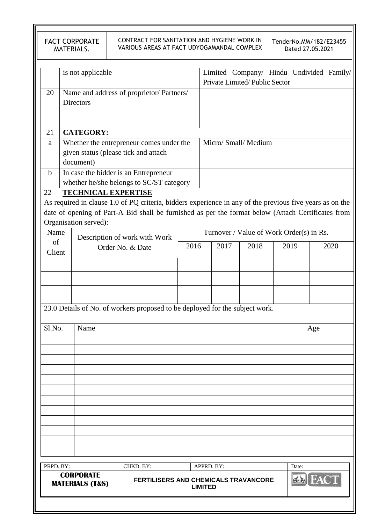|             |                                     | <b>FACT CORPORATE</b><br>MATERIALS.            | CONTRACT FOR SANITATION AND HYGIENE WORK IN<br>VARIOUS AREAS AT FACT UDYOGAMANDAL COMPLEX                |      |                                          |            |                               |      |       | TenderNo.MM/182/E23455<br>Dated 27.05.2021 |
|-------------|-------------------------------------|------------------------------------------------|----------------------------------------------------------------------------------------------------------|------|------------------------------------------|------------|-------------------------------|------|-------|--------------------------------------------|
|             |                                     | is not applicable                              |                                                                                                          |      |                                          |            | Private Limited/Public Sector |      |       | Limited Company/ Hindu Undivided Family/   |
| 20          |                                     | <b>Directors</b>                               | Name and address of proprietor/ Partners/                                                                |      |                                          |            |                               |      |       |                                            |
| 21          |                                     | <b>CATEGORY:</b>                               |                                                                                                          |      |                                          |            |                               |      |       |                                            |
| a           |                                     |                                                | Whether the entrepreneur comes under the                                                                 |      |                                          |            | Micro/ Small/ Medium          |      |       |                                            |
|             |                                     |                                                | given status (please tick and attach                                                                     |      |                                          |            |                               |      |       |                                            |
|             |                                     | document)                                      |                                                                                                          |      |                                          |            |                               |      |       |                                            |
| $\mathbf b$ |                                     |                                                | In case the bidder is an Entrepreneur                                                                    |      |                                          |            |                               |      |       |                                            |
|             |                                     |                                                | whether he/she belongs to SC/ST category                                                                 |      |                                          |            |                               |      |       |                                            |
| 22          |                                     |                                                | <b>TECHNICAL EXPERTISE</b>                                                                               |      |                                          |            |                               |      |       |                                            |
|             |                                     |                                                | As required in clause 1.0 of PQ criteria, bidders experience in any of the previous five years as on the |      |                                          |            |                               |      |       |                                            |
|             |                                     |                                                | date of opening of Part-A Bid shall be furnished as per the format below (Attach Certificates from       |      |                                          |            |                               |      |       |                                            |
|             |                                     | Organisation served):                          |                                                                                                          |      |                                          |            |                               |      |       |                                            |
| Name        |                                     |                                                |                                                                                                          |      |                                          |            |                               |      |       |                                            |
|             | Description of work with Work<br>of |                                                |                                                                                                          |      | Turnover / Value of Work Order(s) in Rs. |            |                               |      |       |                                            |
| Client      |                                     |                                                | Order No. & Date                                                                                         | 2016 |                                          | 2017       | 2018                          | 2019 |       | 2020                                       |
|             |                                     |                                                |                                                                                                          |      |                                          |            |                               |      |       |                                            |
|             |                                     |                                                |                                                                                                          |      |                                          |            |                               |      |       |                                            |
|             |                                     |                                                |                                                                                                          |      |                                          |            |                               |      |       |                                            |
|             |                                     |                                                |                                                                                                          |      |                                          |            |                               |      |       |                                            |
|             |                                     |                                                | 23.0 Details of No. of workers proposed to be deployed for the subject work.                             |      |                                          |            |                               |      |       |                                            |
|             |                                     |                                                |                                                                                                          |      |                                          |            |                               |      |       |                                            |
| Sl.No.      |                                     | Name                                           |                                                                                                          |      |                                          |            |                               |      |       | Age                                        |
|             |                                     |                                                |                                                                                                          |      |                                          |            |                               |      |       |                                            |
|             |                                     |                                                |                                                                                                          |      |                                          |            |                               |      |       |                                            |
|             |                                     |                                                |                                                                                                          |      |                                          |            |                               |      |       |                                            |
|             |                                     |                                                |                                                                                                          |      |                                          |            |                               |      |       |                                            |
|             |                                     |                                                |                                                                                                          |      |                                          |            |                               |      |       |                                            |
|             |                                     |                                                |                                                                                                          |      |                                          |            |                               |      |       |                                            |
|             |                                     |                                                |                                                                                                          |      |                                          |            |                               |      |       |                                            |
|             |                                     |                                                |                                                                                                          |      |                                          |            |                               |      |       |                                            |
|             |                                     |                                                |                                                                                                          |      |                                          |            |                               |      |       |                                            |
|             |                                     |                                                |                                                                                                          |      |                                          |            |                               |      |       |                                            |
|             |                                     |                                                |                                                                                                          |      |                                          |            |                               |      |       |                                            |
|             |                                     |                                                |                                                                                                          |      |                                          |            |                               |      |       |                                            |
| PRPD. BY:   |                                     |                                                | CHKD. BY:                                                                                                |      |                                          | APPRD. BY: |                               |      | Date: |                                            |
|             |                                     | <b>CORPORATE</b><br><b>MATERIALS (T&amp;S)</b> | FERTILISERS AND CHEMICALS TRAVANCORE                                                                     |      | <b>LIMITED</b>                           |            |                               |      |       | <b>FACT</b>                                |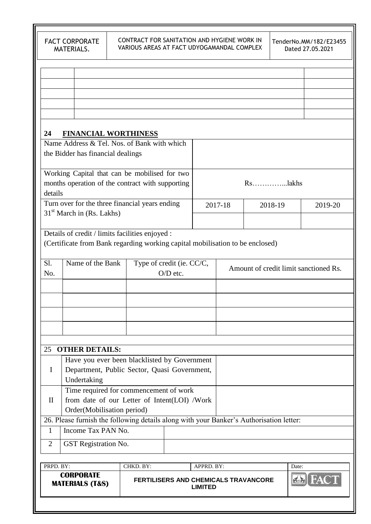| 24                                                        | <b>FINANCIAL WORTHINESS</b>                                                             |                                                          |            |                              |         |         |                                       |
|-----------------------------------------------------------|-----------------------------------------------------------------------------------------|----------------------------------------------------------|------------|------------------------------|---------|---------|---------------------------------------|
|                                                           | Name Address & Tel. Nos. of Bank with which                                             |                                                          |            |                              |         |         |                                       |
|                                                           | the Bidder has financial dealings                                                       |                                                          |            |                              |         |         |                                       |
|                                                           | Working Capital that can be mobilised for two                                           |                                                          |            |                              |         |         |                                       |
|                                                           | months operation of the contract with supporting                                        |                                                          |            |                              |         |         |                                       |
| details<br>Turn over for the three financial years ending |                                                                                         |                                                          |            |                              |         |         |                                       |
|                                                           | $31st$ March in (Rs. Lakhs)                                                             |                                                          |            |                              | 2017-18 | 2018-19 | 2019-20                               |
|                                                           |                                                                                         |                                                          |            |                              |         |         |                                       |
|                                                           | Details of credit / limits facilities enjoyed :                                         |                                                          |            |                              |         |         |                                       |
|                                                           | (Certificate from Bank regarding working capital mobilisation to be enclosed)           |                                                          |            |                              |         |         |                                       |
| Sl.<br>No.                                                | Name of the Bank                                                                        | Type of credit (ie. CC/C,                                | $O/D$ etc. |                              |         |         | Amount of credit limit sanctioned Rs. |
|                                                           |                                                                                         |                                                          |            |                              |         |         |                                       |
|                                                           |                                                                                         |                                                          |            |                              |         |         |                                       |
|                                                           |                                                                                         |                                                          |            |                              |         |         |                                       |
|                                                           |                                                                                         |                                                          |            |                              |         |         |                                       |
|                                                           |                                                                                         |                                                          |            |                              |         |         |                                       |
|                                                           |                                                                                         |                                                          |            |                              |         |         |                                       |
| 25                                                        | <b>OTHER DETAILS:</b>                                                                   |                                                          |            |                              |         |         |                                       |
|                                                           | Have you ever been blacklisted by Government                                            |                                                          |            |                              |         |         |                                       |
| Ι.                                                        | Department, Public Sector, Quasi Government,<br>Undertaking                             |                                                          |            |                              |         |         |                                       |
|                                                           | Time required for commencement of work                                                  |                                                          |            |                              |         |         |                                       |
| $\mathbf{I}$                                              | from date of our Letter of Intent(LOI) /Work                                            |                                                          |            |                              |         |         |                                       |
|                                                           | Order(Mobilisation period)                                                              |                                                          |            |                              |         |         |                                       |
|                                                           | 26. Please furnish the following details along with your Banker's Authorisation letter: |                                                          |            |                              |         |         |                                       |
| 1                                                         | Income Tax PAN No.                                                                      |                                                          |            |                              |         |         |                                       |
| $\overline{2}$                                            | GST Registration No.                                                                    |                                                          |            |                              |         |         |                                       |
|                                                           |                                                                                         |                                                          |            |                              |         |         |                                       |
| PRPD. BY:                                                 | <b>CORPORATE</b><br><b>MATERIALS (T&amp;S)</b>                                          | CHKD. BY:<br><b>FERTILISERS AND CHEMICALS TRAVANCORE</b> |            | APPRD. BY:<br><b>LIMITED</b> |         |         | Date:                                 |
|                                                           |                                                                                         |                                                          |            |                              |         |         |                                       |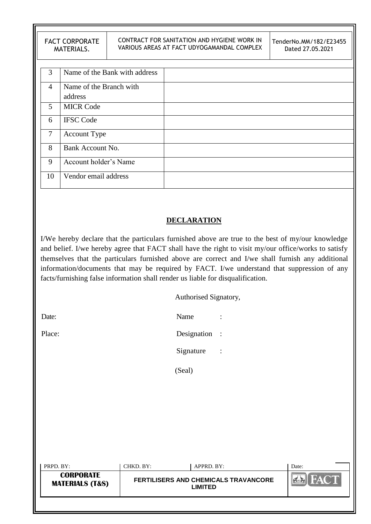|    | <b>FACT CORPORATE</b><br>MATERIALS. |                               | CONTRACT FOR SANITATION AND HYGIENE WORK IN<br>VARIOUS AREAS AT FACT UDYOGAMANDAL COMPLEX | TenderNo.MM/182/E23455<br>Dated 27.05.2021 |
|----|-------------------------------------|-------------------------------|-------------------------------------------------------------------------------------------|--------------------------------------------|
|    |                                     |                               |                                                                                           |                                            |
| 3  |                                     | Name of the Bank with address |                                                                                           |                                            |
| 4  | Name of the Branch with             |                               |                                                                                           |                                            |
|    | address                             |                               |                                                                                           |                                            |
| 5  | <b>MICR Code</b>                    |                               |                                                                                           |                                            |
| 6  | <b>IFSC Code</b>                    |                               |                                                                                           |                                            |
| 7  | <b>Account Type</b>                 |                               |                                                                                           |                                            |
| 8  | Bank Account No.                    |                               |                                                                                           |                                            |
| 9  | Account holder's Name               |                               |                                                                                           |                                            |
| 10 | Vendor email address                |                               |                                                                                           |                                            |
|    |                                     |                               |                                                                                           |                                            |

## **DECLARATION**

I/We hereby declare that the particulars furnished above are true to the best of my/our knowledge and belief. I/we hereby agree that FACT shall have the right to visit my/our office/works to satisfy themselves that the particulars furnished above are correct and I/we shall furnish any additional information/documents that may be required by FACT. I/we understand that suppression of any facts/furnishing false information shall render us liable for disqualification.

Authorised Signatory,

| ×. |
|----|
|----|

Date: Name : Name : Name : Name : Name : Name : Name : Name : Name : Name : Name : Name : Name : Name : Name :  $\mathbb{R}$ Place: Designation :

Signature :

(Seal)

| PRPD. BY:                                      | CHKD. BY:                                                     | APPRD. BY: | Date:       |
|------------------------------------------------|---------------------------------------------------------------|------------|-------------|
| <b>CORPORATE</b><br><b>MATERIALS (T&amp;S)</b> | <b>FERTILISERS AND CHEMICALS TRAVANCORE</b><br><b>LIMITED</b> |            | <b>FACT</b> |
|                                                |                                                               |            |             |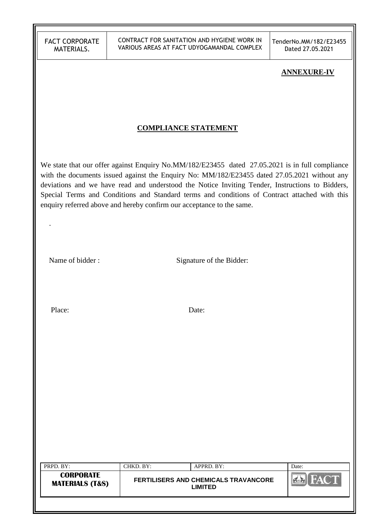CONTRACT FOR SANITATION AND HYGIENE WORK IN VARIOUS AREAS AT FACT UDYOGAMANDAL COMPLEX TenderNo.MM/182/E23455 Dated 27.05.2021

#### **ANNEXURE-IV**

### **COMPLIANCE STATEMENT**

We state that our offer against Enquiry No.MM/182/E23455 dated 27.05.2021 is in full compliance with the documents issued against the Enquiry No: MM/182/E23455 dated 27.05.2021 without any deviations and we have read and understood the Notice Inviting Tender, Instructions to Bidders, Special Terms and Conditions and Standard terms and conditions of Contract attached with this enquiry referred above and hereby confirm our acceptance to the same.

Name of bidder : Signature of the Bidder:

Place: Date:

.

| PRPD. BY:                                      | CHKD. BY: | APPRD. BY:                                             | Date: |
|------------------------------------------------|-----------|--------------------------------------------------------|-------|
| <b>CORPORATE</b><br><b>MATERIALS (T&amp;S)</b> |           | <b>FERTILISERS AND CHEMICALS TRAVANCORE</b><br>LIMITED |       |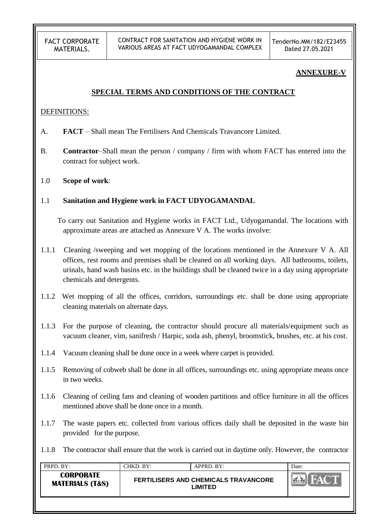### **ANNEXURE-V**

### **SPECIAL TERMS AND CONDITIONS OF THE CONTRACT**

#### DEFINITIONS:

- A. **FACT** Shall mean The Fertilisers And Chemicals Travancore Limited.
- B. **Contractor**–Shall mean the person / company / firm with whom FACT has entered into the contract for subject work.
- 1.0 **Scope of work**:

### 1.1 **Sanitation and Hygiene work in FACT UDYOGAMANDAL**

 To carry out Sanitation and Hygiene works in FACT Ltd., Udyogamandal. The locations with approximate areas are attached as Annexure V A. The works involve:

- 1.1.1 Cleaning /sweeping and wet mopping of the locations mentioned in the Annexure V A. All offices, rest rooms and premises shall be cleaned on all working days. All bathrooms, toilets, urinals, hand wash basins etc. in the buildings shall be cleaned twice in a day using appropriate chemicals and detergents.
- 1.1.2 Wet mopping of all the offices, corridors, surroundings etc. shall be done using appropriate cleaning materials on alternate days.
- 1.1.3 For the purpose of cleaning, the contractor should procure all materials/equipment such as vacuum cleaner, vim, sanifresh / Harpic, soda ash, phenyl, broomstick, brushes, etc. at his cost.
- 1.1.4 Vacuum cleaning shall be done once in a week where carpet is provided.
- 1.1.5 Removing of cobweb shall be done in all offices, surroundings etc. using appropriate means once in two weeks.
- 1.1.6 Cleaning of ceiling fans and cleaning of wooden partitions and office furniture in all the offices mentioned above shall be done once in a month.
- 1.1.7 The waste papers etc. collected from various offices daily shall be deposited in the waste bin provided for the purpose.
- 1.1.8 The contractor shall ensure that the work is carried out in daytime only. However, the contractor

| PRPD. BY:                                      | CHKD. BY: | APPRD. BY:                                             | Date: |
|------------------------------------------------|-----------|--------------------------------------------------------|-------|
| <b>CORPORATE</b><br><b>MATERIALS (T&amp;S)</b> |           | <b>FERTILISERS AND CHEMICALS TRAVANCORE</b><br>LIMITED |       |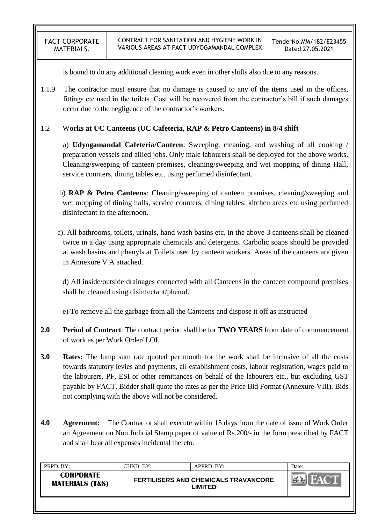is bound to do any additional cleaning work even in other shifts also due to any reasons.

1.1.9 The contractor must ensure that no damage is caused to any of the items used in the offices, fittings etc used in the toilets. Cost will be recovered from the contractor"s bill if such damages occur due to the negligence of the contractor"s workers.

### 1.2 W**orks at UC Canteens (UC Cafeteria, RAP & Petro Canteens) in 8/4 shift**

a) **Udyogamandal Cafeteria/Canteen**: Sweeping, cleaning, and washing of all cooking / preparation vessels and allied jobs. Only male labourers shall be deployed for the above works. Cleaning/sweeping of canteen premises, cleaning/sweeping and wet mopping of dining Hall, service counters, dining tables etc. using perfumed disinfectant.

- b) **RAP & Petro Canteens**: Cleaning/sweeping of canteen premises, cleaning/sweeping and wet mopping of dining halls, service counters, dining tables, kitchen areas etc using perfumed disinfectant in the afternoon.
- c). All bathrooms, toilets, urinals, hand wash basins etc. in the above 3 canteens shall be cleaned twice in a day using appropriate chemicals and detergents. Carbolic soaps should be provided at wash basins and phenyls at Toilets used by canteen workers. Areas of the canteens are given in Annexure V A attached.

d) All inside/outside drainages connected with all Canteens in the canteen compound premises shall be cleaned using disinfectant/phenol.

e) To remove all the garbage from all the Canteens and dispose it off as instructed

- **2.0 Period of Contract**: The contract period shall be for **TWO YEARS** from date of commencement of work as per Work Order/ LOI.
- **3.0 Rates:** The lump sum rate quoted per month for the work shall be inclusive of all the costs towards statutory levies and payments, all establishment costs, labour registration, wages paid to the labourers, PF, ESI or other remittances on behalf of the labourers etc., but excluding GST payable by FACT. Bidder shall quote the rates as per the Price Bid Format (Annexure-VIII). Bids not complying with the above will not be considered.
- **4.0 Agreement:** The Contractor shall execute within 15 days from the date of issue of Work Order an Agreement on Non Judicial Stamp paper of value of Rs.200/- in the form prescribed by FACT and shall bear all expenses incidental thereto.

| PRPD. BY:                                      | CHKD. BY: | APPRD. BY:                                             | Date: |
|------------------------------------------------|-----------|--------------------------------------------------------|-------|
| <b>CORPORATE</b><br><b>MATERIALS (T&amp;S)</b> |           | <b>FERTILISERS AND CHEMICALS TRAVANCORE</b><br>LIMITED |       |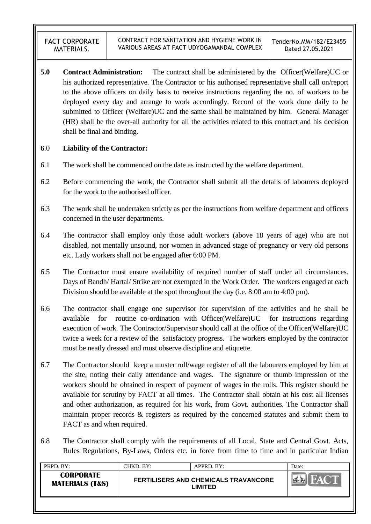**5.0 Contract Administration:** The contract shall be administered by the Officer(Welfare)UC or his authorized representative. The Contractor or his authorised representative shall call on/report to the above officers on daily basis to receive instructions regarding the no. of workers to be deployed every day and arrange to work accordingly. Record of the work done daily to be submitted to Officer (Welfare)UC and the same shall be maintained by him. General Manager (HR) shall be the over-all authority for all the activities related to this contract and his decision shall be final and binding.

### **6**.0 **Liability of the Contractor:**

- 6.1 The work shall be commenced on the date as instructed by the welfare department.
- 6.2 Before commencing the work, the Contractor shall submit all the details of labourers deployed for the work to the authorised officer.
- 6.3 The work shall be undertaken strictly as per the instructions from welfare department and officers concerned in the user departments.
- 6.4 The contractor shall employ only those adult workers (above 18 years of age) who are not disabled, not mentally unsound, nor women in advanced stage of pregnancy or very old persons etc. Lady workers shall not be engaged after 6:00 PM.
- 6.5 The Contractor must ensure availability of required number of staff under all circumstances. Days of Bandh/ Hartal/ Strike are not exempted in the Work Order. The workers engaged at each Division should be available at the spot throughout the day (i.e. 8:00 am to 4:00 pm).
- 6.6 The contractor shall engage one supervisor for supervision of the activities and he shall be available for routine co-ordination with Officer(Welfare)UC for instructions regarding execution of work. The Contractor/Supervisor should call at the office of the Officer(Welfare)UC twice a week for a review of the satisfactory progress. The workers employed by the contractor must be neatly dressed and must observe discipline and etiquette.
- 6.7 The Contractor should keep a muster roll/wage register of all the labourers employed by him at the site, noting their daily attendance and wages. The signature or thumb impression of the workers should be obtained in respect of payment of wages in the rolls. This register should be available for scrutiny by FACT at all times. The Contractor shall obtain at his cost all licenses and other authorization, as required for his work, from Govt. authorities. The Contractor shall maintain proper records & registers as required by the concerned statutes and submit them to FACT as and when required.
- 6.8 The Contractor shall comply with the requirements of all Local, State and Central Govt. Acts, Rules Regulations, By-Laws, Orders etc. in force from time to time and in particular Indian

| PRPD. BY:                                      | CHKD. BY: | APPRD. BY:                                             | Date: |
|------------------------------------------------|-----------|--------------------------------------------------------|-------|
| <b>CORPORATE</b><br><b>MATERIALS (T&amp;S)</b> |           | <b>FERTILISERS AND CHEMICALS TRAVANCORE</b><br>LIMITED |       |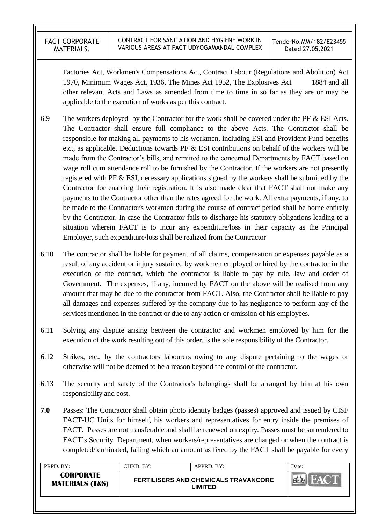Factories Act, Workmen's Compensations Act, Contract Labour (Regulations and Abolition) Act 1970, Minimum Wages Act. 1936, The Mines Act 1952, The Explosives Act 1884 and all other relevant Acts and Laws as amended from time to time in so far as they are or may be applicable to the execution of works as per this contract.

- 6.9 The workers deployed by the Contractor for the work shall be covered under the PF & ESI Acts. The Contractor shall ensure full compliance to the above Acts. The Contractor shall be responsible for making all payments to his workmen, including ESI and Provident Fund benefits etc., as applicable. Deductions towards PF  $\&$  ESI contributions on behalf of the workers will be made from the Contractor's bills, and remitted to the concerned Departments by FACT based on wage roll cum attendance roll to be furnished by the Contractor. If the workers are not presently registered with PF & ESI, necessary applications signed by the workers shall be submitted by the Contractor for enabling their registration. It is also made clear that FACT shall not make any payments to the Contractor other than the rates agreed for the work. All extra payments, if any, to be made to the Contractor's workmen during the course of contract period shall be borne entirely by the Contractor. In case the Contractor fails to discharge his statutory obligations leading to a situation wherein FACT is to incur any expenditure/loss in their capacity as the Principal Employer, such expenditure/loss shall be realized from the Contractor
- 6.10 The contractor shall be liable for payment of all claims, compensation or expenses payable as a result of any accident or injury sustained by workmen employed or hired by the contractor in the execution of the contract, which the contractor is liable to pay by rule, law and order of Government. The expenses, if any, incurred by FACT on the above will be realised from any amount that may be due to the contractor from FACT. Also, the Contractor shall be liable to pay all damages and expenses suffered by the company due to his negligence to perform any of the services mentioned in the contract or due to any action or omission of his employees.
- 6.11 Solving any dispute arising between the contractor and workmen employed by him for the execution of the work resulting out of this order, is the sole responsibility of the Contractor.
- 6.12 Strikes, etc., by the contractors labourers owing to any dispute pertaining to the wages or otherwise will not be deemed to be a reason beyond the control of the contractor.
- 6.13 The security and safety of the Contractor's belongings shall be arranged by him at his own responsibility and cost.
- **7.0** Passes: The Contractor shall obtain photo identity badges (passes) approved and issued by CISF FACT-UC Units for himself, his workers and representatives for entry inside the premises of FACT. Passes are not transferable and shall be renewed on expiry. Passes must be surrendered to FACT"s Security Department, when workers/representatives are changed or when the contract is completed/terminated, failing which an amount as fixed by the FACT shall be payable for every

| PRPD. BY:                                      | CHKD. BY: | APPRD. BY:                                             | Date: |
|------------------------------------------------|-----------|--------------------------------------------------------|-------|
| <b>CORPORATE</b><br><b>MATERIALS (T&amp;S)</b> |           | <b>FERTILISERS AND CHEMICALS TRAVANCORE</b><br>∟IMITED |       |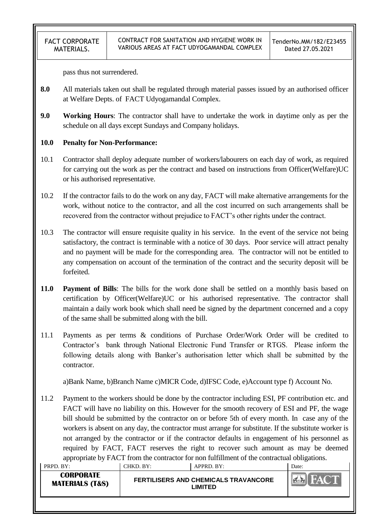pass thus not surrendered.

- **8.0** All materials taken out shall be regulated through material passes issued by an authorised officer at Welfare Depts. of FACT Udyogamandal Complex.
- **9.0 Working Hours**: The contractor shall have to undertake the work in daytime only as per the schedule on all days except Sundays and Company holidays.

### **10.0 Penalty for Non-Performance:**

- 10.1 Contractor shall deploy adequate number of workers/labourers on each day of work, as required for carrying out the work as per the contract and based on instructions from Officer(Welfare)UC or his authorised representative.
- 10.2 If the contractor fails to do the work on any day, FACT will make alternative arrangements for the work, without notice to the contractor, and all the cost incurred on such arrangements shall be recovered from the contractor without prejudice to FACT"s other rights under the contract.
- 10.3 The contractor will ensure requisite quality in his service. In the event of the service not being satisfactory, the contract is terminable with a notice of 30 days. Poor service will attract penalty and no payment will be made for the corresponding area. The contractor will not be entitled to any compensation on account of the termination of the contract and the security deposit will be forfeited.
- **11.0 Payment of Bills**: The bills for the work done shall be settled on a monthly basis based on certification by Officer(Welfare)UC or his authorised representative. The contractor shall maintain a daily work book which shall need be signed by the department concerned and a copy of the same shall be submitted along with the bill.
- 11.1 Payments as per terms & conditions of Purchase Order/Work Order will be credited to Contractor's bank through National Electronic Fund Transfer or RTGS. Please inform the following details along with Banker's authorisation letter which shall be submitted by the contractor.

a)Bank Name, b)Branch Name c)MICR Code, d)IFSC Code, e)Account type f) Account No.

11.2 Payment to the workers should be done by the contractor including ESI, PF contribution etc. and FACT will have no liability on this. However for the smooth recovery of ESI and PF, the wage bill should be submitted by the contractor on or before 5th of every month. In case any of the workers is absent on any day, the contractor must arrange for substitute. If the substitute worker is not arranged by the contractor or if the contractor defaults in engagement of his personnel as required by FACT, FACT reserves the right to recover such amount as may be deemed appropriate by FACT from the contractor for non fulfillment of the contractual obligations.

| PRPD. BY:                               | CHKD. BY: | APPRD. BY:                                             | Date:      |
|-----------------------------------------|-----------|--------------------------------------------------------|------------|
| CORPORATE<br><b>MATERIALS (T&amp;S)</b> |           | FERTILISERS AND CHEMICALS TRAVANCORE<br><b>_IMITED</b> | <b>DAY</b> |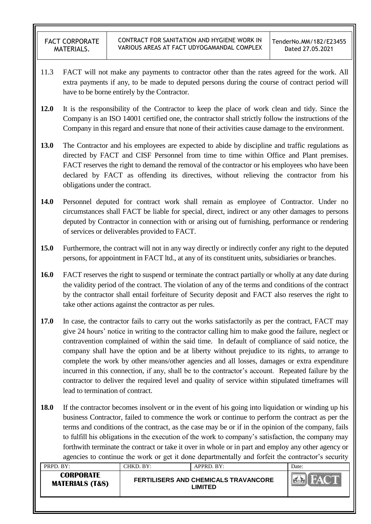- 11.3 FACT will not make any payments to contractor other than the rates agreed for the work. All extra payments if any, to be made to deputed persons during the course of contract period will have to be borne entirely by the Contractor.
- **12.0** It is the responsibility of the Contractor to keep the place of work clean and tidy. Since the Company is an ISO 14001 certified one, the contractor shall strictly follow the instructions of the Company in this regard and ensure that none of their activities cause damage to the environment.
- **13.0** The Contractor and his employees are expected to abide by discipline and traffic regulations as directed by FACT and CISF Personnel from time to time within Office and Plant premises. FACT reserves the right to demand the removal of the contractor or his employees who have been declared by FACT as offending its directives, without relieving the contractor from his obligations under the contract.
- **14.0** Personnel deputed for contract work shall remain as employee of Contractor. Under no circumstances shall FACT be liable for special, direct, indirect or any other damages to persons deputed by Contractor in connection with or arising out of furnishing, performance or rendering of services or deliverables provided to FACT.
- **15.0** Furthermore, the contract will not in any way directly or indirectly confer any right to the deputed persons, for appointment in FACT ltd., at any of its constituent units, subsidiaries or branches.
- **16.0** FACT reserves the right to suspend or terminate the contract partially or wholly at any date during the validity period of the contract. The violation of any of the terms and conditions of the contract by the contractor shall entail forfeiture of Security deposit and FACT also reserves the right to take other actions against the contractor as per rules.
- **17.0** In case, the contractor fails to carry out the works satisfactorily as per the contract, FACT may give 24 hours" notice in writing to the contractor calling him to make good the failure, neglect or contravention complained of within the said time. In default of compliance of said notice, the company shall have the option and be at liberty without prejudice to its rights, to arrange to complete the work by other means/other agencies and all losses, damages or extra expenditure incurred in this connection, if any, shall be to the contractor's account. Repeated failure by the contractor to deliver the required level and quality of service within stipulated timeframes will lead to termination of contract.
- **18.0** If the contractor becomes insolvent or in the event of his going into liquidation or winding up his business Contractor, failed to commence the work or continue to perform the contract as per the terms and conditions of the contract, as the case may be or if in the opinion of the company, fails to fulfill his obligations in the execution of the work to company"s satisfaction, the company may forthwith terminate the contract or take it over in whole or in part and employ any other agency or agencies to continue the work or get it done departmentally and forfeit the contractor's security

| PRPD. BY:                                      | CHKD. BY: | APPRD. BY:                                             | Date: |
|------------------------------------------------|-----------|--------------------------------------------------------|-------|
| <b>CORPORATE</b><br><b>MATERIALS (T&amp;S)</b> |           | <b>FERTILISERS AND CHEMICALS TRAVANCORE</b><br>LIMITED |       |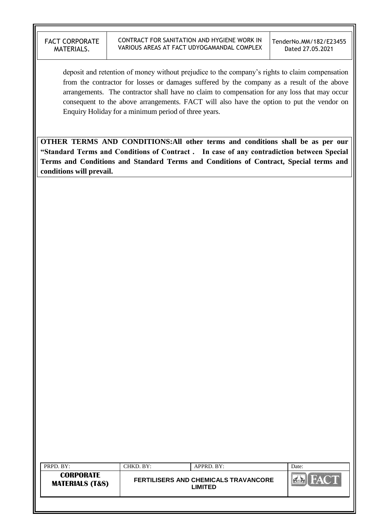deposit and retention of money without prejudice to the company"s rights to claim compensation from the contractor for losses or damages suffered by the company as a result of the above arrangements. The contractor shall have no claim to compensation for any loss that may occur consequent to the above arrangements. FACT will also have the option to put the vendor on Enquiry Holiday for a minimum period of three years.

**OTHER TERMS AND CONDITIONS:All other terms and conditions shall be as per our "Standard Terms and Conditions of Contract . In case of any contradiction between Special Terms and Conditions and Standard Terms and Conditions of Contract, Special terms and conditions will prevail.**

| <b>CORPORATE</b><br><b>FERTILISERS AND CHEMICALS TRAVANCORE</b><br><b>MATERIALS (T&amp;S)</b> | PRPD. BY: | CHKD. BY: | APPRD. BY: | Date: |
|-----------------------------------------------------------------------------------------------|-----------|-----------|------------|-------|
|                                                                                               |           |           | LIMITED    |       |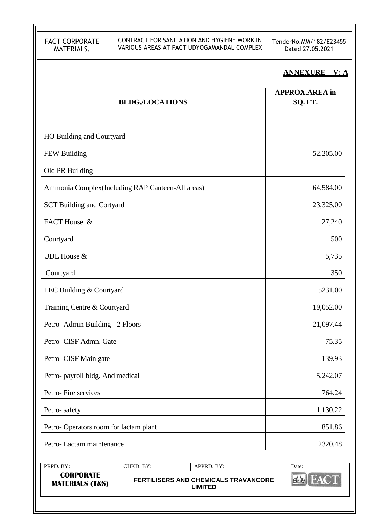TenderNo.MM/182/E23455 Dated 27.05.2021

# **ANNEXURE – V: A**

| <b>BLDG./LOCATIONS</b>                            | <b>APPROX.AREA</b> in<br>SQ. FT. |
|---------------------------------------------------|----------------------------------|
| HO Building and Courtyard                         |                                  |
| FEW Building                                      | 52,205.00                        |
| Old PR Building                                   |                                  |
| Ammonia Complex (Including RAP Canteen-All areas) | 64,584.00                        |
| <b>SCT Building and Cortyard</b>                  | 23,325.00                        |
| FACT House &                                      | 27,240                           |
| Courtyard                                         | 500                              |
| <b>UDL</b> House &                                | 5,735                            |
| Courtyard                                         | 350                              |
| EEC Building & Courtyard                          | 5231.00                          |
| Training Centre & Courtyard                       | 19,052.00                        |
| Petro- Admin Building - 2 Floors                  | 21,097.44                        |
| Petro- CISF Admn. Gate                            | 75.35                            |
| Petro- CISF Main gate                             | 139.93                           |
| Petro- payroll bldg. And medical                  | 5,242.07                         |
| Petro-Fire services                               | 764.24                           |
| Petro-safety                                      | 1,130.22                         |
| Petro-Operators room for lactam plant             | 851.86                           |
| Petro-Lactam maintenance                          | 2320.48                          |

| PRPD. BY:                                      | CHKD. BY:- | $APPRD$ $BY:$                                   | ⊃ate: |
|------------------------------------------------|------------|-------------------------------------------------|-------|
| <b>CORPORATE</b><br><b>MATERIALS (T&amp;S)</b> |            | FERTILISERS AND CHEMICALS TRAVANCORE<br>LIMITED |       |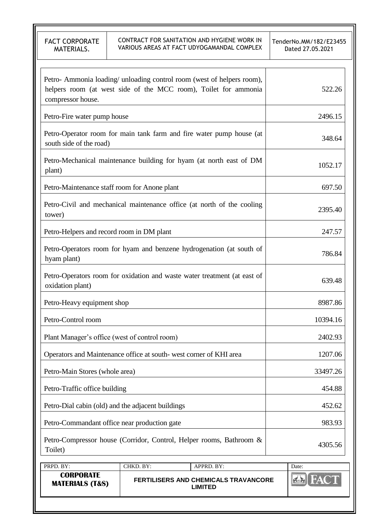FACT CORPORATE MATERIALS. CONTRACT FOR SANITATION AND HYGIENE WORK IN VARIOUS AREAS AT FACT UDYOGAMANDAL COMPLEX TenderNo.MM/182/E23455 Dated 27.05.2021 Petro- Ammonia loading/ unloading control room (west of helpers room), helpers room (at west side of the MCC room), Toilet for ammonia compressor house. 522.26 Petro-Fire water pump house 2496.15 Petro-Operator room for main tank farm and fire water pump house (at south side of the road) 348.64 Petro-Mechanical maintenance building for hyam (at north east of DM  $\frac{1052.17}{2}$  plant) 1052.17 Petro-Maintenance staff room for Anone plant 697.50 Petro-Civil and mechanical maintenance office (at north of the cooling tower) 2395.40 Petro-Helpers and record room in DM plant 247.57 Petro-Operators room for hyam and benzene hydrogenation (at south of hyam plant) 786.84 Petro-Operators room for oxidation and waste water treatment (at east of  $\alpha$  oxidation plant) 639.48 Petro-Heavy equipment shop 8987.86 Petro-Control room and the set of the set of the set of the set of the set of the set of the set of the set of the set of the set of the set of the set of the set of the set of the set of the set of the set of the set of t Plant Manager's office (west of control room) 2402.93 Operators and Maintenance office at south- west corner of KHI area 1207.06 Petro-Main Stores (whole area) 33497.26 Petro-Traffic office building 454.88 Petro-Dial cabin (old) and the adjacent buildings 452.62 Petro-Commandant office near production gate 983.93 Petro-Compressor house (Corridor, Control, Helper rooms, Bathroom & Toilet)  $4305.56$ <br>Toilet)  $4305.56$ 

| PRPD. BY:                                      | CHKD. BY:- | APPRD. BY:                                             | Date: |
|------------------------------------------------|------------|--------------------------------------------------------|-------|
| <b>CORPORATE</b><br><b>MATERIALS (T&amp;S)</b> |            | <b>FERTILISERS AND CHEMICALS TRAVANCORE</b><br>LIMITED |       |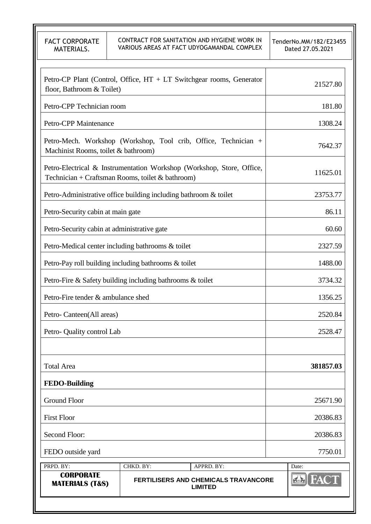CONTRACT FOR SANITATION AND HYGIENE WORK IN VARIOUS AREAS AT FACT UDYOGAMANDAL COMPLEX

TenderNo.MM/182/E23455 Dated 27.05.2021

| <b>CORPORATE</b><br><b>MATERIALS (T&amp;S)</b>                                                                            |           | <b>FERTILISERS AND CHEMICALS TRAVANCORE</b><br><b>LIMITED</b>        | A         |
|---------------------------------------------------------------------------------------------------------------------------|-----------|----------------------------------------------------------------------|-----------|
| PRPD. BY:                                                                                                                 | CHKD. BY: | APPRD. BY:                                                           | Date:     |
| FEDO outside yard                                                                                                         |           |                                                                      | 7750.01   |
| Second Floor:                                                                                                             |           |                                                                      | 20386.83  |
| <b>First Floor</b>                                                                                                        |           |                                                                      | 20386.83  |
| <b>Ground Floor</b>                                                                                                       |           |                                                                      | 25671.90  |
| <b>FEDO-Building</b>                                                                                                      |           |                                                                      |           |
| <b>Total Area</b>                                                                                                         |           |                                                                      | 381857.03 |
| Petro-Quality control Lab                                                                                                 |           |                                                                      | 2528.47   |
| Petro-Canteen(All areas)                                                                                                  |           |                                                                      | 2520.84   |
| Petro-Fire tender & ambulance shed                                                                                        |           |                                                                      | 1356.25   |
| Petro-Fire & Safety building including bathrooms & toilet                                                                 |           |                                                                      | 3734.32   |
| Petro-Pay roll building including bathrooms & toilet                                                                      |           |                                                                      | 1488.00   |
| Petro-Medical center including bathrooms & toilet                                                                         |           |                                                                      | 2327.59   |
| Petro-Security cabin at administrative gate                                                                               |           |                                                                      | 60.60     |
| Petro-Security cabin at main gate                                                                                         |           |                                                                      | 86.11     |
| Petro-Administrative office building including bathroom & toilet                                                          |           |                                                                      | 23753.77  |
| Petro-Electrical & Instrumentation Workshop (Workshop, Store, Office,<br>Technician + Craftsman Rooms, toilet & bathroom) |           |                                                                      | 11625.01  |
| Petro-Mech. Workshop (Workshop, Tool crib, Office, Technician +<br>Machinist Rooms, toilet & bathroom)                    |           |                                                                      | 7642.37   |
| Petro-CPP Maintenance                                                                                                     |           |                                                                      | 1308.24   |
| Petro-CPP Technician room                                                                                                 |           |                                                                      | 181.80    |
| floor, Bathroom & Toilet)                                                                                                 |           | Petro-CP Plant (Control, Office, HT + LT Switchgear rooms, Generator | 21527.80  |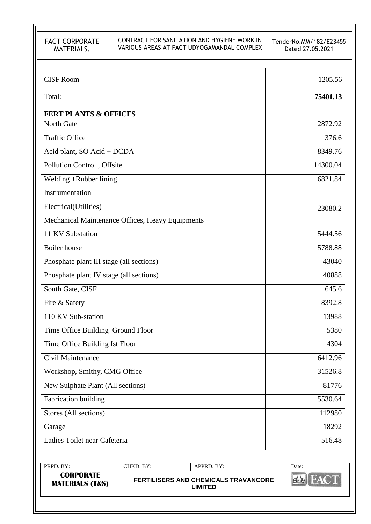TenderNo.MM/182/E23455 Dated 27.05.2021

| <b>CISF Room</b>                                 | 1205.56  |
|--------------------------------------------------|----------|
| Total:                                           | 75401.13 |
| <b>FERT PLANTS &amp; OFFICES</b>                 |          |
| North Gate                                       | 2872.92  |
| <b>Traffic Office</b>                            | 376.6    |
| Acid plant, SO Acid + DCDA                       | 8349.76  |
| Pollution Control, Offsite                       | 14300.04 |
| Welding +Rubber lining                           | 6821.84  |
| Instrumentation                                  |          |
| Electrical(Utilities)                            | 23080.2  |
| Mechanical Maintenance Offices, Heavy Equipments |          |
| 11 KV Substation                                 | 5444.56  |
| <b>Boiler</b> house                              | 5788.88  |
| Phosphate plant III stage (all sections)         | 43040    |
| Phosphate plant IV stage (all sections)          | 40888    |
| South Gate, CISF                                 | 645.6    |
| Fire & Safety                                    | 8392.8   |
| 110 KV Sub-station                               | 13988    |
| Time Office Building Ground Floor                | 5380     |
| Time Office Building Ist Floor                   | 4304     |
| Civil Maintenance                                | 6412.96  |
| Workshop, Smithy, CMG Office                     | 31526.8  |
| New Sulphate Plant (All sections)                | 81776    |
| Fabrication building                             | 5530.64  |
| Stores (All sections)                            | 112980   |
| Garage                                           | 18292    |
| Ladies Toilet near Cafeteria                     | 516.48   |
|                                                  |          |

| PRPD. BY:                                      | CHKD. BY:- | APPRD. BY:                                             | Date: |
|------------------------------------------------|------------|--------------------------------------------------------|-------|
| <b>CORPORATE</b><br><b>MATERIALS (T&amp;S)</b> |            | <b>FERTILISERS AND CHEMICALS TRAVANCORE</b><br>LIMITED |       |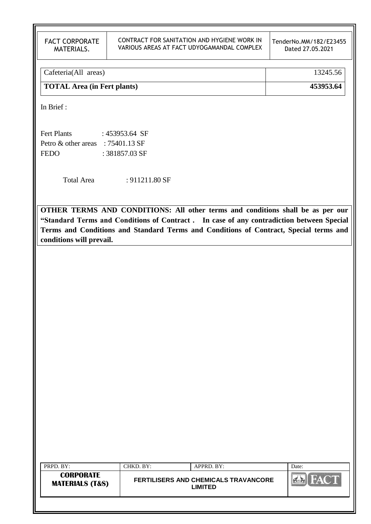#### CONTRACT FOR SANITATION AND HYGIENE WORK IN VARIOUS AREAS AT FACT UDYOGAMANDAL COMPLEX

TenderNo.MM/182/E23455 Dated 27.05.2021

| Cafeteria(All areas)        | 13245.56  |
|-----------------------------|-----------|
| TOTAL Area (in Fert plants) | 453953.64 |

In Brief :

| <b>Fert Plants</b>  | : 453953.64 SF |
|---------------------|----------------|
| Petro & other areas | $:75401.13$ SF |
| <b>FEDO</b>         | : 381857.03 SF |

Total Area : 911211.80 SF

**OTHER TERMS AND CONDITIONS: All other terms and conditions shall be as per our "Standard Terms and Conditions of Contract . In case of any contradiction between Special Terms and Conditions and Standard Terms and Conditions of Contract, Special terms and conditions will prevail.**

| PRPD. BY:                                      | CHKD. BY: | APPRD. BY:                                             | Date: |
|------------------------------------------------|-----------|--------------------------------------------------------|-------|
| <b>CORPORATE</b><br><b>MATERIALS (T&amp;S)</b> |           | <b>FERTILISERS AND CHEMICALS TRAVANCORE</b><br>LIMITED |       |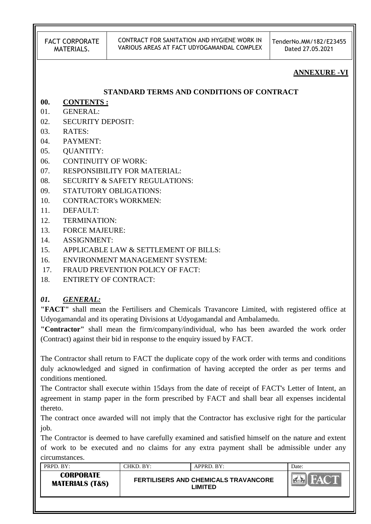#### CONTRACT FOR SANITATION AND HYGIENE WORK IN VARIOUS AREAS AT FACT UDYOGAMANDAL COMPLEX

TenderNo.MM/182/E23455 Dated 27.05.2021

### **ANNEXURE -VI**

### **STANDARD TERMS AND CONDITIONS OF CONTRACT**

# **00. CONTENTS :**

- 01. GENERAL:
- 02. SECURITY DEPOSIT:
- 03. RATES:
- 04. PAYMENT:
- 05. QUANTITY:
- 06. CONTINUITY OF WORK:
- 07. RESPONSIBILITY FOR MATERIAL:
- 08. SECURITY & SAFETY REGULATIONS:
- 09. STATUTORY OBLIGATIONS:
- 10. CONTRACTOR's WORKMEN:
- 11. DEFAULT:
- 12. TERMINATION:
- 13. FORCE MAJEURE:
- 14. ASSIGNMENT:
- 15. APPLICABLE LAW & SETTLEMENT OF BILLS:
- 16. ENVIRONMENT MANAGEMENT SYSTEM:
- 17. FRAUD PREVENTION POLICY OF FACT:
- 18. ENTIRETY OF CONTRACT:

# *01. GENERAL:*

**"FACT"** shall mean the Fertilisers and Chemicals Travancore Limited, with registered office at Udyogamandal and its operating Divisions at Udyogamandal and Ambalamedu.

**"Contractor"** shall mean the firm/company/individual, who has been awarded the work order (Contract) against their bid in response to the enquiry issued by FACT.

The Contractor shall return to FACT the duplicate copy of the work order with terms and conditions duly acknowledged and signed in confirmation of having accepted the order as per terms and conditions mentioned.

The Contractor shall execute within 15days from the date of receipt of FACT's Letter of Intent, an agreement in stamp paper in the form prescribed by FACT and shall bear all expenses incidental thereto.

The contract once awarded will not imply that the Contractor has exclusive right for the particular job.

The Contractor is deemed to have carefully examined and satisfied himself on the nature and extent of work to be executed and no claims for any extra payment shall be admissible under any circumstances.

| PRPD. BY:                                      | $CHKD$ . $BY:$ | APPRD. BY:                                             | Date: |
|------------------------------------------------|----------------|--------------------------------------------------------|-------|
| <b>CORPORATE</b><br><b>MATERIALS (T&amp;S)</b> |                | <b>FERTILISERS AND CHEMICALS TRAVANCORE</b><br>_IMITED |       |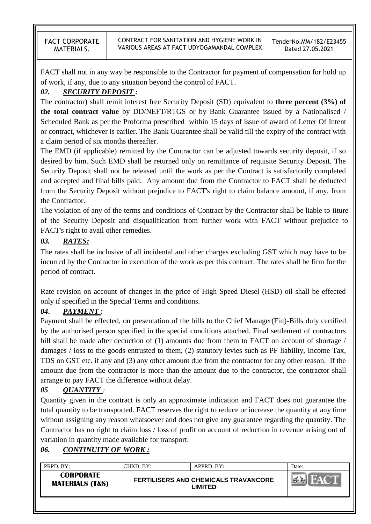FACT shall not in any way be responsible to the Contractor for payment of compensation for hold up of work, if any, due to any situation beyond the control of FACT.

# *02. SECURITY DEPOSIT :*

The contractor) shall remit interest free Security Deposit (SD) equivalent to **three percent (3%) of the total contract value** by DD/NEFT/RTGS or by Bank Guarantee issued by a Nationalised / Scheduled Bank as per the Proforma prescribed within 15 days of issue of award of Letter Of Intent or contract, whichever is earlier. The Bank Guarantee shall be valid till the expiry of the contract with a claim period of six months thereafter.

The EMD (if applicable) remitted by the Contractor can be adjusted towards security deposit, if so desired by him. Such EMD shall be returned only on remittance of requisite Security Deposit. The Security Deposit shall not be released until the work as per the Contract is satisfactorily completed and accepted and final bills paid. Any amount due from the Contractor to FACT shall be deducted from the Security Deposit without prejudice to FACT's right to claim balance amount, if any, from the Contractor.

The violation of any of the terms and conditions of Contract by the Contractor shall be liable to iiture of the Security Deposit and disqualification from further work with FACT without prejudice to FACT's right to avail other remedies.

# *03. RATES:*

The rates shall be inclusive of all incidental and other charges excluding GST which may have to be incurred by the Contractor in execution of the work as per this contract. The rates shall be firm for the period of contract.

Rate revision on account of changes in the price of High Speed Diesel (HSD) oil shall be effected only if specified in the Special Terms and conditions.

# *04***.** *PAYMENT* **:**

Payment shall be effected, on presentation of the bills to the Chief Manager(Fin)-Bills duly certified by the authorised person specified in the special conditions attached. Final settlement of contractors bill shall be made after deduction of (1) amounts due from them to FACT on account of shortage / damages / loss to the goods entrusted to them, (2) statutory levies such as PF liability, Income Tax, TDS on GST etc. if any and (3) any other amount due from the contractor for any other reason. If the amount due from the contractor is more than the amount due to the contractor, the contractor shall arrange to pay FACT the difference without delay.

# *05 QUANTITY :*

Quantity given in the contract is only an approximate indication and FACT does not guarantee the total quantity to be transported. FACT reserves the right to reduce or increase the quantity at any time without assigning any reason whatsoever and does not give any guarantee regarding the quantity. The Contractor has no right to claim loss / loss of profit on account of reduction in revenue arising out of variation in quantity made available for transport.

# *06. CONTINUITY OF WORK :*

| PRPD. BY:                                      | ™KD. BY: | $APPRD$ . BY:                                          | Date: |
|------------------------------------------------|----------|--------------------------------------------------------|-------|
| <b>CORPORATE</b><br><b>MATERIALS (T&amp;S)</b> |          | <b>FERTILISERS AND CHEMICALS TRAVANCORE</b><br>LIMITED |       |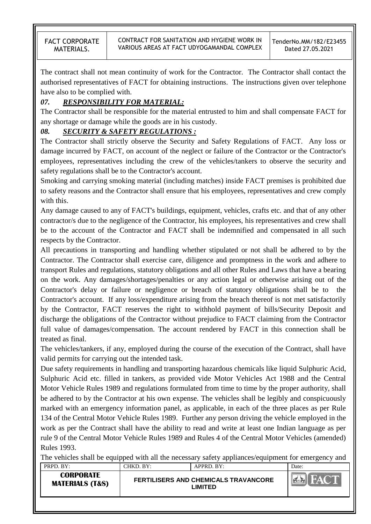The contract shall not mean continuity of work for the Contractor. The Contractor shall contact the authorised representatives of FACT for obtaining instructions. The instructions given over telephone have also to be complied with.

# *07. RESPONSIBILITY FOR MATERIAL:*

The Contractor shall be responsible for the material entrusted to him and shall compensate FACT for any shortage or damage while the goods are in his custody.

# *08. SECURITY & SAFETY REGULATIONS :*

The Contractor shall strictly observe the Security and Safety Regulations of FACT. Any loss or damage incurred by FACT, on account of the neglect or failure of the Contractor or the Contractor's employees, representatives including the crew of the vehicles/tankers to observe the security and safety regulations shall be to the Contractor's account.

Smoking and carrying smoking material (including matches) inside FACT premises is prohibited due to safety reasons and the Contractor shall ensure that his employees, representatives and crew comply with this.

Any damage caused to any of FACT's buildings, equipment, vehicles, crafts etc. and that of any other contractor/s due to the negligence of the Contractor, his employees, his representatives and crew shall be to the account of the Contractor and FACT shall be indemnified and compensated in all such respects by the Contractor.

All precautions in transporting and handling whether stipulated or not shall be adhered to by the Contractor. The Contractor shall exercise care, diligence and promptness in the work and adhere to transport Rules and regulations, statutory obligations and all other Rules and Laws that have a bearing on the work. Any damages/shortages/penalties or any action legal or otherwise arising out of the Contractor's delay or failure or negligence or breach of statutory obligations shall be to the Contractor's account. If any loss/expenditure arising from the breach thereof is not met satisfactorily by the Contractor, FACT reserves the right to withhold payment of bills/Security Deposit and discharge the obligations of the Contractor without prejudice to FACT claiming from the Contractor full value of damages/compensation. The account rendered by FACT in this connection shall be treated as final.

The vehicles/tankers, if any, employed during the course of the execution of the Contract, shall have valid permits for carrying out the intended task.

Due safety requirements in handling and transporting hazardous chemicals like liquid Sulphuric Acid, Sulphuric Acid etc. filled in tankers, as provided vide Motor Vehicles Act 1988 and the Central Motor Vehicle Rules 1989 and regulations formulated from time to time by the proper authority, shall be adhered to by the Contractor at his own expense. The vehicles shall be legibly and conspicuously marked with an emergency information panel, as applicable, in each of the three places as per Rule 134 of the Central Motor Vehicle Rules 1989. Further any person driving the vehicle employed in the work as per the Contract shall have the ability to read and write at least one Indian language as per rule 9 of the Central Motor Vehicle Rules 1989 and Rules 4 of the Central Motor Vehicles (amended) Rules 1993.

PRPD. BY: CHKD. BY: APPRD. BY: Date: The vehicles shall be equipped with all the necessary safety appliances/equipment for emergency and <br>  $\sqrt{\frac{PRPD - RY}{PQ}}$ 

| CORPORATE<br><b>FERTILISERS AND CHEMICALS TRAVANCORE</b><br><b>MATERIALS (T&amp;S)</b><br><b>.IMITED</b> | . | <u>.</u> | ,,,,,,,,,,,, | Dav. |
|----------------------------------------------------------------------------------------------------------|---|----------|--------------|------|
|                                                                                                          |   |          |              |      |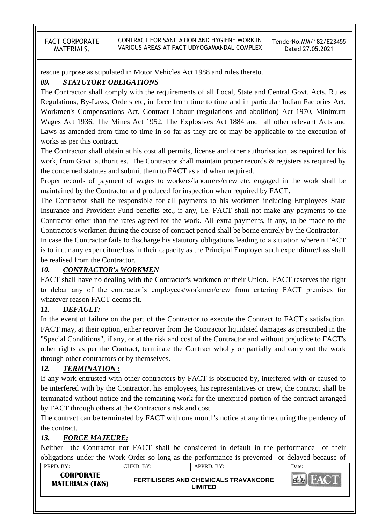CONTRACT FOR SANITATION AND HYGIENE WORK IN VARIOUS AREAS AT FACT UDYOGAMANDAL COMPLEX

rescue purpose as stipulated in Motor Vehicles Act 1988 and rules thereto.

## *09. STATUTORY OBLIGATIONS*

The Contractor shall comply with the requirements of all Local, State and Central Govt. Acts, Rules Regulations, By-Laws, Orders etc, in force from time to time and in particular Indian Factories Act, Workmen's Compensations Act, Contract Labour (regulations and abolition) Act 1970, Minimum Wages Act 1936, The Mines Act 1952, The Explosives Act 1884 and all other relevant Acts and Laws as amended from time to time in so far as they are or may be applicable to the execution of works as per this contract.

The Contractor shall obtain at his cost all permits, license and other authorisation, as required for his work, from Govt. authorities. The Contractor shall maintain proper records & registers as required by the concerned statutes and submit them to FACT as and when required.

Proper records of payment of wages to workers/labourers/crew etc. engaged in the work shall be maintained by the Contractor and produced for inspection when required by FACT.

The Contractor shall be responsible for all payments to his workmen including Employees State Insurance and Provident Fund benefits etc., if any, i.e. FACT shall not make any payments to the Contractor other than the rates agreed for the work. All extra payments, if any, to be made to the Contractor's workmen during the course of contract period shall be borne entirely by the Contractor.

In case the Contractor fails to discharge his statutory obligations leading to a situation wherein FACT is to incur any expenditure/loss in their capacity as the Principal Employer such expenditure/loss shall be realised from the Contractor.

# *10. CONTRACTOR's WORKMEN*

FACT shall have no dealing with the Contractor's workmen or their Union. FACT reserves the right to debar any of the contractor"s employees/workmen/crew from entering FACT premises for whatever reason FACT deems fit.

# *11. DEFAULT:*

In the event of failure on the part of the Contractor to execute the Contract to FACT's satisfaction, FACT may, at their option, either recover from the Contractor liquidated damages as prescribed in the "Special Conditions", if any, or at the risk and cost of the Contractor and without prejudice to FACT's other rights as per the Contract, terminate the Contract wholly or partially and carry out the work through other contractors or by themselves.

# *12. TERMINATION :*

If any work entrusted with other contractors by FACT is obstructed by, interfered with or caused to be interfered with by the Contractor, his employees, his representatives or crew, the contract shall be terminated without notice and the remaining work for the unexpired portion of the contract arranged by FACT through others at the Contractor's risk and cost.

The contract can be terminated by FACT with one month's notice at any time during the pendency of the contract.

# *13. FORCE MAJEURE:*

Neither the Contractor nor FACT shall be considered in default in the performance of their obligations under the Work Order so long as the performance is prevented or delayed because of

| PRPD. BY:                                      | CHKD. BY: | $APPRD$ . BY:                                                 | Date: |
|------------------------------------------------|-----------|---------------------------------------------------------------|-------|
| <b>CORPORATE</b><br><b>MATERIALS (T&amp;S)</b> |           | <b>FERTILISERS AND CHEMICALS TRAVANCORE</b><br><b>_IMITED</b> |       |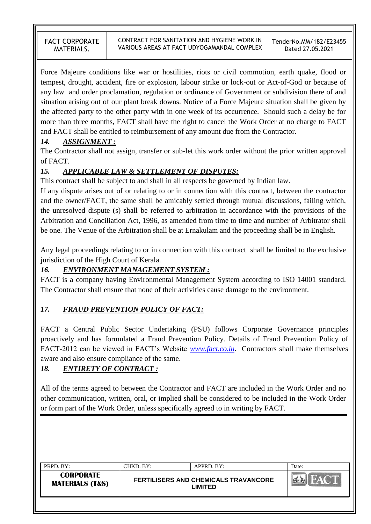Force Majeure conditions like war or hostilities, riots or civil commotion, earth quake, flood or tempest, drought, accident, fire or explosion, labour strike or lock-out or Act-of-God or because of any law and order proclamation, regulation or ordinance of Government or subdivision there of and situation arising out of our plant break downs. Notice of a Force Majeure situation shall be given by the affected party to the other party with in one week of its occurrence. Should such a delay be for more than three months, FACT shall have the right to cancel the Work Order at no charge to FACT and FACT shall be entitled to reimbursement of any amount due from the Contractor.

# *14. ASSIGNMENT :*

The Contractor shall not assign, transfer or sub-let this work order without the prior written approval of FACT.

# *15. APPLICABLE LAW & SETTLEMENT OF DISPUTES:*

This contract shall be subject to and shall in all respects be governed by Indian law.

If any dispute arises out of or relating to or in connection with this contract, between the contractor and the owner/FACT, the same shall be amicably settled through mutual discussions, failing which, the unresolved dispute (s) shall be referred to arbitration in accordance with the provisions of the Arbitration and Conciliation Act, 1996, as amended from time to time and number of Arbitrator shall be one. The Venue of the Arbitration shall be at Ernakulam and the proceeding shall be in English.

Any legal proceedings relating to or in connection with this contract shall be limited to the exclusive jurisdiction of the High Court of Kerala.

# *16. ENVIRONMENT MANAGEMENT SYSTEM :*

FACT is a company having Environmental Management System according to ISO 14001 standard. The Contractor shall ensure that none of their activities cause damage to the environment.

# *17. FRAUD PREVENTION POLICY OF FACT:*

FACT a Central Public Sector Undertaking (PSU) follows Corporate Governance principles proactively and has formulated a Fraud Prevention Policy. Details of Fraud Prevention Policy of FACT-2012 can be viewed in FACT"s Website *[www.fact.co.in](http://www.fact.co.in/)*. Contractors shall make themselves aware and also ensure compliance of the same.

# *18. ENTIRETY OF CONTRACT :*

All of the terms agreed to between the Contractor and FACT are included in the Work Order and no other communication, written, oral, or implied shall be considered to be included in the Work Order or form part of the Work Order, unless specifically agreed to in writing by FACT.

| PRPD. BY:                                      | CHKD. BY: | APPRD. BY:                                             | Date: |
|------------------------------------------------|-----------|--------------------------------------------------------|-------|
| <b>CORPORATE</b><br><b>MATERIALS (T&amp;S)</b> |           | <b>FERTILISERS AND CHEMICALS TRAVANCORE</b><br>LIMITED |       |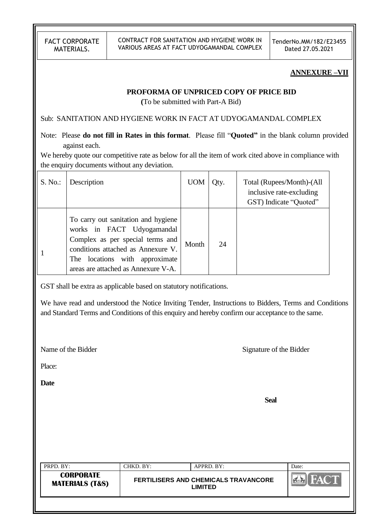CONTRACT FOR SANITATION AND HYGIENE WORK IN VARIOUS AREAS AT FACT UDYOGAMANDAL COMPLEX TenderNo.MM/182/E23455 Dated 27.05.2021

#### **ANNEXURE –VII**

### **PROFORMA OF UNPRICED COPY OF PRICE BID**

 **(**To be submitted with Part-A Bid)

Sub: SANITATION AND HYGIENE WORK IN FACT AT UDYOGAMANDAL COMPLEX

Note: Please **do not fill in Rates in this format**. Please fill "**Quoted"** in the blank column provided against each.

We hereby quote our competitive rate as below for all the item of work cited above in compliance with the enquiry documents without any deviation.

| S. No. | Description                                                                                                                                                                                                             | <b>UOM</b> | Qty. | Total (Rupees/Month)-(All<br>inclusive rate-excluding<br>GST) Indicate "Quoted" |
|--------|-------------------------------------------------------------------------------------------------------------------------------------------------------------------------------------------------------------------------|------------|------|---------------------------------------------------------------------------------|
|        | To carry out sanitation and hygiene<br>works in FACT Udyogamandal<br>Complex as per special terms and<br>conditions attached as Annexure V.<br>locations with approximate<br>The<br>areas are attached as Annexure V-A. | Month      | 24   |                                                                                 |

GST shall be extra as applicable based on statutory notifications.

We have read and understood the Notice Inviting Tender, Instructions to Bidders, Terms and Conditions and Standard Terms and Conditions of this enquiry and hereby confirm our acceptance to the same.

Name of the Bidder Signature of the Bidder

Place:

**Date**

**Seal**

| PRPD. BY:                                      | CHKD. BY: | APPRD. BY:                                             | Date: |
|------------------------------------------------|-----------|--------------------------------------------------------|-------|
| <b>CORPORATE</b><br><b>MATERIALS (T&amp;S)</b> |           | <b>FERTILISERS AND CHEMICALS TRAVANCORE</b><br>LIMITED |       |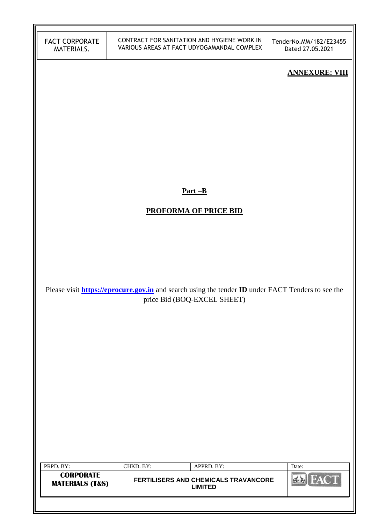TenderNo.MM/182/E23455 Dated 27.05.2021

### **ANNEXURE: VIII**

**Part –B**

# **PROFORMA OF PRICE BID**

Please visit **[https://eprocure.gov.in](https://eprocure.gov.in/)** and search using the tender **ID** under FACT Tenders to see the price Bid (BOQ-EXCEL SHEET)

| PRPD. BY:                                      | CHKD. BY: | APPRD. BY:                                             | Date: |
|------------------------------------------------|-----------|--------------------------------------------------------|-------|
| <b>CORPORATE</b><br><b>MATERIALS (T&amp;S)</b> |           | FERTILISERS AND CHEMICALS TRAVANCORE<br><b>LIMITED</b> |       |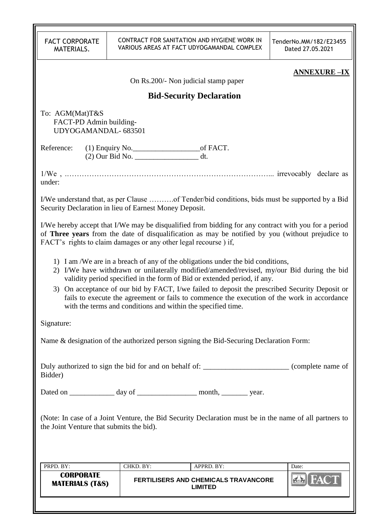| <b>FACT CORPORATE</b><br>MATERIALS.                                                                                                                |                                                                                                                                                                                                                                                                                                                                                                                                                                                                                                                            | CONTRACT FOR SANITATION AND HYGIENE WORK IN<br>VARIOUS AREAS AT FACT UDYOGAMANDAL COMPLEX                                                                                                                | TenderNo.MM/182/E23455<br>Dated 27.05.2021 |  |  |
|----------------------------------------------------------------------------------------------------------------------------------------------------|----------------------------------------------------------------------------------------------------------------------------------------------------------------------------------------------------------------------------------------------------------------------------------------------------------------------------------------------------------------------------------------------------------------------------------------------------------------------------------------------------------------------------|----------------------------------------------------------------------------------------------------------------------------------------------------------------------------------------------------------|--------------------------------------------|--|--|
|                                                                                                                                                    |                                                                                                                                                                                                                                                                                                                                                                                                                                                                                                                            |                                                                                                                                                                                                          | <b>ANNEXURE -IX</b>                        |  |  |
|                                                                                                                                                    |                                                                                                                                                                                                                                                                                                                                                                                                                                                                                                                            | On Rs.200/- Non judicial stamp paper                                                                                                                                                                     |                                            |  |  |
|                                                                                                                                                    |                                                                                                                                                                                                                                                                                                                                                                                                                                                                                                                            | <b>Bid-Security Declaration</b>                                                                                                                                                                          |                                            |  |  |
| To: AGM(Mat)T&S<br>FACT-PD Admin building-<br>UDYOGAMANDAL-683501                                                                                  |                                                                                                                                                                                                                                                                                                                                                                                                                                                                                                                            |                                                                                                                                                                                                          |                                            |  |  |
| Reference:                                                                                                                                         | (2) Our Bid No. _________________________ dt.                                                                                                                                                                                                                                                                                                                                                                                                                                                                              |                                                                                                                                                                                                          |                                            |  |  |
| under:                                                                                                                                             |                                                                                                                                                                                                                                                                                                                                                                                                                                                                                                                            |                                                                                                                                                                                                          |                                            |  |  |
|                                                                                                                                                    | Security Declaration in lieu of Earnest Money Deposit.                                                                                                                                                                                                                                                                                                                                                                                                                                                                     | I/We understand that, as per Clause of Tender/bid conditions, bids must be supported by a Bid                                                                                                            |                                            |  |  |
|                                                                                                                                                    | FACT's rights to claim damages or any other legal recourse) if,                                                                                                                                                                                                                                                                                                                                                                                                                                                            | I/We hereby accept that I/We may be disqualified from bidding for any contract with you for a period<br>of Three years from the date of disqualification as may be notified by you (without prejudice to |                                            |  |  |
|                                                                                                                                                    | 1) I am /We are in a breach of any of the obligations under the bid conditions,<br>2) I/We have withdrawn or unilaterally modified/amended/revised, my/our Bid during the bid<br>validity period specified in the form of Bid or extended period, if any.<br>3) On acceptance of our bid by FACT, I/we failed to deposit the prescribed Security Deposit or<br>fails to execute the agreement or fails to commence the execution of the work in accordance<br>with the terms and conditions and within the specified time. |                                                                                                                                                                                                          |                                            |  |  |
| Signature:                                                                                                                                         |                                                                                                                                                                                                                                                                                                                                                                                                                                                                                                                            |                                                                                                                                                                                                          |                                            |  |  |
|                                                                                                                                                    |                                                                                                                                                                                                                                                                                                                                                                                                                                                                                                                            | Name & designation of the authorized person signing the Bid-Securing Declaration Form:                                                                                                                   |                                            |  |  |
| Duly authorized to sign the bid for and on behalf of: __________________________ (complete name of<br>Bidder)                                      |                                                                                                                                                                                                                                                                                                                                                                                                                                                                                                                            |                                                                                                                                                                                                          |                                            |  |  |
|                                                                                                                                                    | Dated on ______________ day of ____________________ month, __________ year.                                                                                                                                                                                                                                                                                                                                                                                                                                                |                                                                                                                                                                                                          |                                            |  |  |
| (Note: In case of a Joint Venture, the Bid Security Declaration must be in the name of all partners to<br>the Joint Venture that submits the bid). |                                                                                                                                                                                                                                                                                                                                                                                                                                                                                                                            |                                                                                                                                                                                                          |                                            |  |  |
| PRPD. BY:                                                                                                                                          | CHKD. BY:                                                                                                                                                                                                                                                                                                                                                                                                                                                                                                                  | APPRD. BY:                                                                                                                                                                                               | Date:                                      |  |  |
| <b>CORPORATE</b><br><b>MATERIALS (T&amp;S)</b>                                                                                                     |                                                                                                                                                                                                                                                                                                                                                                                                                                                                                                                            | <b>FERTILISERS AND CHEMICALS TRAVANCORE</b><br><b>LIMITED</b>                                                                                                                                            |                                            |  |  |
|                                                                                                                                                    |                                                                                                                                                                                                                                                                                                                                                                                                                                                                                                                            |                                                                                                                                                                                                          |                                            |  |  |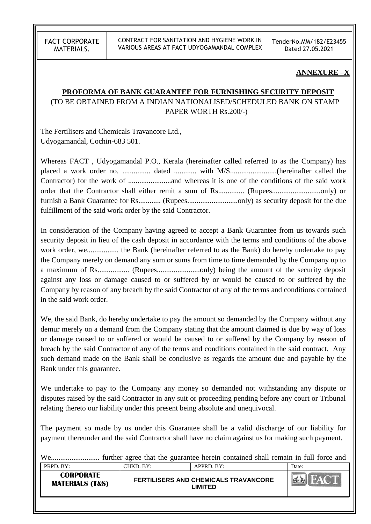CONTRACT FOR SANITATION AND HYGIENE WORK IN VARIOUS AREAS AT FACT UDYOGAMANDAL COMPLEX TenderNo.MM/182/E23455 Dated 27.05.2021

#### **ANNEXURE –X**

### **PROFORMA OF BANK GUARANTEE FOR FURNISHING SECURITY DEPOSIT**

(TO BE OBTAINED FROM A INDIAN NATIONALISED/SCHEDULED BANK ON STAMP PAPER WORTH Rs.200/-)

The Fertilisers and Chemicals Travancore Ltd., Udyogamandal, Cochin-683 501.

Whereas FACT , Udyogamandal P.O., Kerala (hereinafter called referred to as the Company) has placed a work order no. ............... dated ............ with M/S.........................(hereinafter called the Contractor) for the work of .......................and whereas it is one of the conditions of the said work order that the Contractor shall either remit a sum of Rs.............. (Rupees..........................only) or furnish a Bank Guarantee for Rs............ (Rupees...........................only) as security deposit for the due fulfillment of the said work order by the said Contractor.

In consideration of the Company having agreed to accept a Bank Guarantee from us towards such security deposit in lieu of the cash deposit in accordance with the terms and conditions of the above work order, we................. the Bank (hereinafter referred to as the Bank) do hereby undertake to pay the Company merely on demand any sum or sums from time to time demanded by the Company up to a maximum of Rs................... (Rupees.............................only) being the amount of the security deposit against any loss or damage caused to or suffered by or would be caused to or suffered by the Company by reason of any breach by the said Contractor of any of the terms and conditions contained in the said work order.

We, the said Bank, do hereby undertake to pay the amount so demanded by the Company without any demur merely on a demand from the Company stating that the amount claimed is due by way of loss or damage caused to or suffered or would be caused to or suffered by the Company by reason of breach by the said Contractor of any of the terms and conditions contained in the said contract. Any such demand made on the Bank shall be conclusive as regards the amount due and payable by the Bank under this guarantee.

We undertake to pay to the Company any money so demanded not withstanding any dispute or disputes raised by the said Contractor in any suit or proceeding pending before any court or Tribunal relating thereto our liability under this present being absolute and unequivocal.

The payment so made by us under this Guarantee shall be a valid discharge of our liability for payment thereunder and the said Contractor shall have no claim against us for making such payment.

PRPD. BY: CHKD. BY: APPRD. BY: Date: We.......................... further agree that the guarantee herein contained shall remain in full force and

| .                                              | ---------- | .                                                             | ------ |
|------------------------------------------------|------------|---------------------------------------------------------------|--------|
| <b>CORPORATE</b><br><b>MATERIALS (T&amp;S)</b> |            | <b>FERTILISERS AND CHEMICALS TRAVANCORE</b><br><b>_IMITED</b> |        |
|                                                |            |                                                               |        |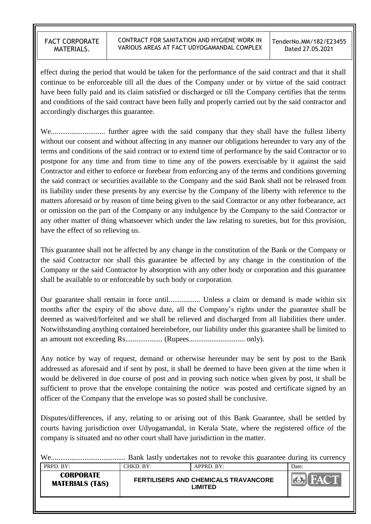effect during the period that would be taken for the performance of the said contract and that it shall continue to be enforceable till all the dues of the Company under or by virtue of the said contract have been fully paid and its claim satisfied or discharged or till the Company certifies that the terms and conditions of the said contract have been fully and properly carried out by the said contractor and accordingly discharges this guarantee.

We............................. further agree with the said company that they shall have the fullest liberty without our consent and without affecting in any manner our obligations hereunder to vary any of the terms and conditions of the said contract or to extend time of performance by the said Contractor or to postpone for any time and from time to time any of the powers exercisable by it against the said Contractor and either to enforce or forebear from enforcing any of the terms and conditions governing the said contract or securities available to the Company and the said Bank shall not be released from its liability under these presents by any exercise by the Company of the liberty with reference to the matters aforesaid or by reason of time being given to the said Contractor or any other forbearance, act or omission on the part of the Company or any indulgence by the Company to the said Contractor or any other matter of thing whatsoever which under the law relating to sureties, but for this provision, have the effect of so relieving us.

This guarantee shall not be affected by any change in the constitution of the Bank or the Company or the said Contractor nor shall this guarantee be affected by any change in the constitution of the Company or the said Contractor by absorption with any other body or corporation and this guarantee shall be available to or enforceable by such body or corporation.

Our guarantee shall remain in force until................. Unless a claim or demand is made within six months after the expiry of the above date, all the Company"s rights under the guarantee shall be deemed as waived/forfeited and we shall be relieved and discharged from all liabilities there under. Notwithstanding anything contained hereinbefore, our liability under this guarantee shall be limited to an amount not exceeding Rs.................... (Rupees.............................. only).

Any notice by way of request, demand or otherwise hereunder may be sent by post to the Bank addressed as aforesaid and if sent by post, it shall be deemed to have been given at the time when it would be delivered in due course of post and in proving such notice when given by post, it shall be sufficient to prove that the envelope containing the notice was posted and certificate signed by an officer of the Company that the envelope was so posted shall be conclusive.

Disputes/differences, if any, relating to or arising out of this Bank Guarantee, shall be settled by courts having jurisdiction over Udyogamandal, in Kerala State, where the registered office of the company is situated and no other court shall have jurisdiction in the matter.

| <b>PRPD.</b> BY: | CHKD. BY: | APPRD. BY: | Date: |
|------------------|-----------|------------|-------|

| 1 IV D. D.I.                                   | <u>.</u> |                                                              | Dac- |
|------------------------------------------------|----------|--------------------------------------------------------------|------|
| <b>CORPORATE</b><br><b>MATERIALS (T&amp;S)</b> |          | <b>FERTILISERS AND CHEMICALS TRAVANCORE</b><br><b>IMITED</b> |      |
|                                                |          |                                                              |      |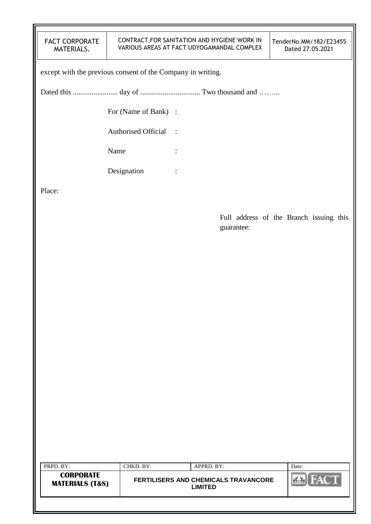| <b>FACT CORPORATE</b> |
|-----------------------|
| MATERIALS.            |

#### CONTRACT FOR SANITATION AND HYGIENE WORK IN VARIOUS AREAS AT FACT UDYOGAMANDAL COMPLEX

except with the previous consent of the Company in writing.

Dated this ........................ day of ................................ Two thousand and ……...

For (Name of Bank) :

Authorised Official :

Name :

Designation :

Place:

Full address of the Branch issuing this guarantee:

| PRPD. BY:                                      | CHKD. BY:                                       | APPRD. BY: | Date: |
|------------------------------------------------|-------------------------------------------------|------------|-------|
| <b>CORPORATE</b><br><b>MATERIALS (T&amp;S)</b> | FERTILISERS AND CHEMICALS TRAVANCORE<br>LIMITED |            |       |
|                                                |                                                 |            |       |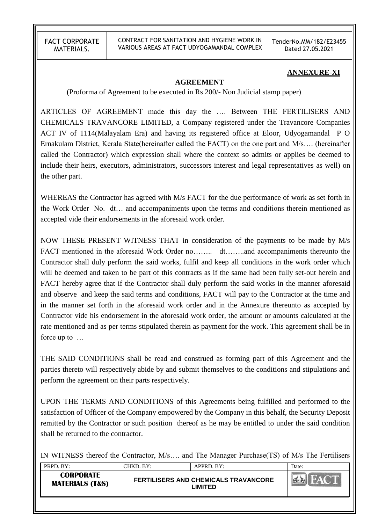CONTRACT FOR SANITATION AND HYGIENE WORK IN VARIOUS AREAS AT FACT UDYOGAMANDAL COMPLEX TenderNo.MM/182/E23455 Dated 27.05.2021

#### **ANNEXURE-XI**

#### **AGREEMENT**

(Proforma of Agreement to be executed in Rs 200/- Non Judicial stamp paper)

ARTICLES OF AGREEMENT made this day the …. Between THE FERTILISERS AND CHEMICALS TRAVANCORE LIMITED, a Company registered under the Travancore Companies ACT IV of 1114(Malayalam Era) and having its registered office at Eloor, Udyogamandal P O Ernakulam District, Kerala State(hereinafter called the FACT) on the one part and M/s…. (hereinafter called the Contractor) which expression shall where the context so admits or applies be deemed to include their heirs, executors, administrators, successors interest and legal representatives as well) on the other part.

WHEREAS the Contractor has agreed with M/s FACT for the due performance of work as set forth in the Work Order No. dt… and accompaniments upon the terms and conditions therein mentioned as accepted vide their endorsements in the aforesaid work order.

NOW THESE PRESENT WITNESS THAT in consideration of the payments to be made by M/s FACT mentioned in the aforesaid Work Order no……... dt……..and accompaniments thereunto the Contractor shall duly perform the said works, fulfil and keep all conditions in the work order which will be deemed and taken to be part of this contracts as if the same had been fully set-out herein and FACT hereby agree that if the Contractor shall duly perform the said works in the manner aforesaid and observe and keep the said terms and conditions, FACT will pay to the Contractor at the time and in the manner set forth in the aforesaid work order and in the Annexure thereunto as accepted by Contractor vide his endorsement in the aforesaid work order, the amount or amounts calculated at the rate mentioned and as per terms stipulated therein as payment for the work. This agreement shall be in force up to …

THE SAID CONDITIONS shall be read and construed as forming part of this Agreement and the parties thereto will respectively abide by and submit themselves to the conditions and stipulations and perform the agreement on their parts respectively.

UPON THE TERMS AND CONDITIONS of this Agreements being fulfilled and performed to the satisfaction of Officer of the Company empowered by the Company in this behalf, the Security Deposit remitted by the Contractor or such position thereof as he may be entitled to under the said condition shall be returned to the contractor.

IN WITNESS thereof the Contractor, M/s…. and The Manager Purchase(TS) of M/s The Fertilisers

| PRPD. BY:                                      | CHKD. BY:-                                             | APPRD. BY: | Date: |
|------------------------------------------------|--------------------------------------------------------|------------|-------|
| <b>CORPORATE</b><br><b>MATERIALS (T&amp;S)</b> | <b>FERTILISERS AND CHEMICALS TRAVANCORE</b><br>LIMITED |            |       |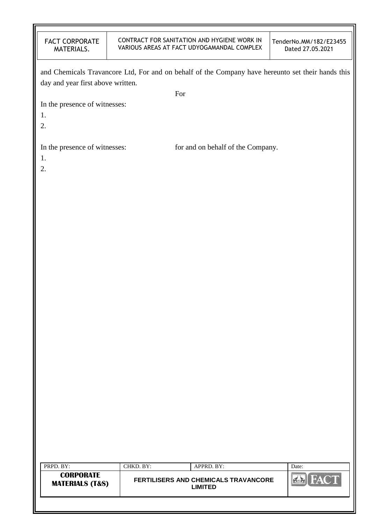| <b>FACT CORPORATE</b> |
|-----------------------|
| MATERIALS.            |

#### CONTRACT FOR SANITATION AND HYGIENE WORK IN VARIOUS AREAS AT FACT UDYOGAMANDAL COMPLEX

| day and year first above written.              |           | and Chemicals Travancore Ltd, For and on behalf of the Company have hereunto set their hands this |             |
|------------------------------------------------|-----------|---------------------------------------------------------------------------------------------------|-------------|
|                                                |           | For                                                                                               |             |
| In the presence of witnesses:<br>1.<br>2.      |           |                                                                                                   |             |
| In the presence of witnesses:<br>1.<br>2.      |           | for and on behalf of the Company.                                                                 |             |
|                                                |           |                                                                                                   |             |
|                                                |           |                                                                                                   |             |
|                                                |           |                                                                                                   |             |
|                                                |           |                                                                                                   |             |
|                                                |           |                                                                                                   |             |
|                                                |           |                                                                                                   |             |
|                                                |           |                                                                                                   |             |
|                                                |           |                                                                                                   |             |
|                                                |           |                                                                                                   |             |
|                                                |           |                                                                                                   |             |
|                                                |           |                                                                                                   |             |
|                                                |           |                                                                                                   |             |
|                                                |           |                                                                                                   |             |
|                                                |           |                                                                                                   |             |
|                                                |           |                                                                                                   |             |
|                                                |           |                                                                                                   |             |
|                                                |           |                                                                                                   |             |
|                                                |           |                                                                                                   |             |
|                                                |           |                                                                                                   |             |
|                                                |           |                                                                                                   |             |
|                                                |           |                                                                                                   |             |
| PRPD. BY:                                      | CHKD. BY: | APPRD. BY:                                                                                        | Date:       |
| <b>CORPORATE</b><br><b>MATERIALS (T&amp;S)</b> |           | FERTILISERS AND CHEMICALS TRAVANCORE<br><b>LIMITED</b>                                            | <b>FACT</b> |
|                                                |           |                                                                                                   |             |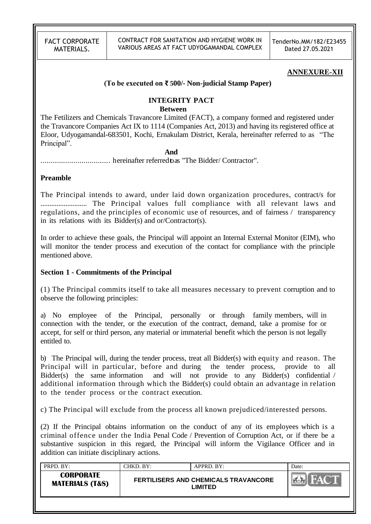CONTRACT FOR SANITATION AND HYGIENE WORK IN VARIOUS AREAS AT FACT UDYOGAMANDAL COMPLEX TenderNo.MM/182/E23455 Dated 27.05.2021

#### **ANNEXURE-XII**

#### **(To be executed on ₹ 500/- Non-judicial Stamp Paper)**

### **INTEGRITY PACT**

#### **Between**

The Fetilizers and Chemicals Travancore Limited (FACT), a company formed and registered under the Travancore Companies Act IX to 1114 (Companies Act, 2013) and having its registered office at Eloor, Udyogamandal-683501, Kochi, Ernakulam District, Kerala, hereinafter referred to as "The Principal".

#### **And**

.................................. hereinafter referredtoas "The Bidder/ Contractor".

#### **Preamble**

The Principal intends to award, under laid down organization procedures, contract/s for .......................... The Principal values full compliance with all relevant laws and regulations, and the principles of economic use of resources, and of fairness / transparency in its relations with its Bidder(s) and or/Contractor(s).

In order to achieve these goals, the Principal will appoint an Internal External Monitor (EIM), who will monitor the tender process and execution of the contact for compliance with the principle mentioned above.

#### **Section 1 - Commitments of the Principal**

(1) The Principal commits itself to take all measures necessary to prevent corruption and to observe the following principles:

a) No employee of the Principal, personally or through family members, will in connection with the tender, or the execution of the contract, demand, take a promise for or accept, for self or third person, any material or immaterial benefit which the person is not legally entitled to.

b) The Principal will, during the tender process, treat all Bidder(s) with equity and reason. The Principal will in particular, before and during the tender process, provide to all Bidder(s) the same information and will not provide to any Bidder(s) confidential / additional information through which the Bidder(s) could obtain an advantage in relation to the tender process or the contract execution.

c) The Principal will exclude from the process all known prejudiced/interested persons.

(2) If the Principal obtains information on the conduct of any of its employees which is a criminal offence under the India Penal Code / Prevention of Corruption Act, or if there be a substantive suspicion in this regard, the Principal will inform the Vigilance Officer and in addition can initiate disciplinary actions.

| PRPD. BY:                                      | CHKD. BY:                                       | APPRD. BY: | Date: |
|------------------------------------------------|-------------------------------------------------|------------|-------|
| <b>CORPORATE</b><br><b>MATERIALS (T&amp;S)</b> | FERTILISERS AND CHEMICALS TRAVANCORE<br>LIMITED |            |       |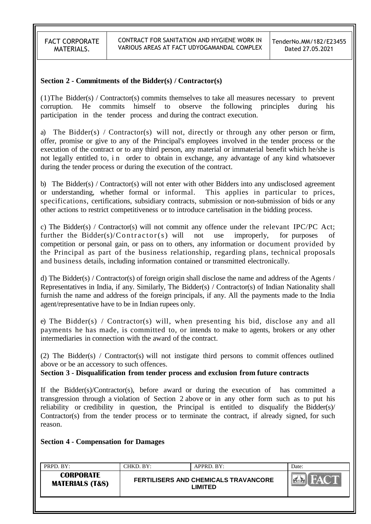#### **Section 2 - Commitments of the Bidder(s) / Contractor(s)**

(1)The Bidder(s) / Contractor(s) commits themselves to take all measures necessary to prevent corruption. He commits himself to observe the following principles during his participation in the tender process and during the contract execution.

a) The Bidder(s) / Contractor(s) will not, directly or through any other person or firm, offer, promise or give to any of the Principal's employees involved in the tender process or the execution of the contract or to any third person, any material or immaterial benefit which he/she is not legally entitled to, i n order to obtain in exchange, any advantage of any kind whatsoever during the tender process or during the execution of the contract.

b) The Bidder(s) / Contractor(s) will not enter with other Bidders into any undisclosed agreement or understanding, whether formal or informal. This applies in particular to prices, specifications, certifications, subsidiary contracts, submission or non-submission of bids or any other actions to restrict competitiveness or to introduce cartelisation in the bidding process.

c) The Bidder(s) / Contractor(s) will not commit any offence under the relevant IPC/PC Act; further the Bidder(s)/Contractor(s) will not use improperly, for purposes of competition or personal gain, or pass on to others, any information or document provided by the Principal as part of the business relationship, regarding plans, technical proposals and business details, including information contained or transmitted electronically.

d) The Bidder(s) / Contractor(s) of foreign origin shall disclose the name and address of the Agents / Representatives in India, if any. Similarly, The Bidder(s) / Contractor(s) of Indian Nationality shall furnish the name and address of the foreign principals, if any. All the payments made to the India agent/representative have to be in Indian rupees only.

e) The Bidder(s) / Contractor(s) will, when presenting his bid, disclose any and all payments he has made, is committed to, or intends to make to agents, brokers or any other intermediaries in connection with the award of the contract.

(2) The Bidder(s) / Contractor(s) will not instigate third persons to commit offences outlined above or be an accessory to such offences.

#### **Section 3 - Disqualification from tender process and exclusion from future contracts**

If the Bidder(s)/Contractor(s), before award or during the execution of has committed a transgression through a violation of Section 2 above or in any other form such as to put his reliability or credibility in question, the Principal is entitled to disqualify the Bidder(s)/ Contractor(s) from the tender process or to terminate the contract, if already signed, for such reason.

**Section 4 - Compensation for Damages**

| PRPD. BY:                                      | CHKD. BY:                                              | APPRD. BY: | Date: |
|------------------------------------------------|--------------------------------------------------------|------------|-------|
| <b>CORPORATE</b><br><b>MATERIALS (T&amp;S)</b> | <b>FERTILISERS AND CHEMICALS TRAVANCORE</b><br>LIMITED |            |       |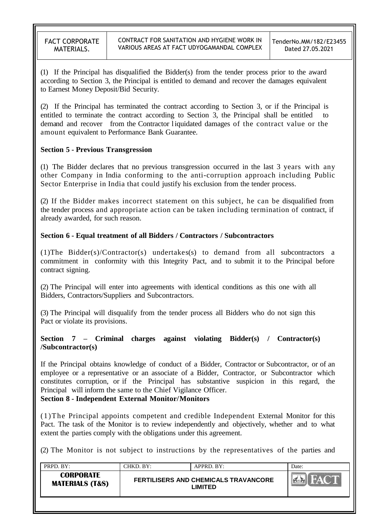(1) If the Principal has disqualified the Bidder(s) from the tender process prior to the award according to Section 3, the Principal is entitled to demand and recover the damages equivalent to Earnest Money Deposit/Bid Security.

(2) If the Principal has terminated the contract according to Section 3, or if the Principal is entitled to terminate the contract according to Section 3, the Principal shall be entitled to demand and recover from the Contractor liquidated damages of the contract value or the amount equivalent to Performance Bank Guarantee.

## **Section 5 - Previous Transgression**

(1) The Bidder declares that no previous transgression occurred in the last 3 years with any other Company in India conforming to the anti-corruption approach including Public Sector Enterprise in India that could justify his exclusion from the tender process.

(2) If the Bidder makes incorrect statement on this subject, he can be disqualified from the tender process and appropriate action can be taken including termination of contract, if already awarded, for such reason.

## **Section 6 - Equal treatment of all Bidders / Contractors / Subcontractors**

(1)The Bidder(s)/Contractor(s) undertakes(s) to demand from all subcontractors a commitment in conformity with this Integrity Pact, and to submit it to the Principal before contract signing.

(2) The Principal will enter into agreements with identical conditions as this one with all Bidders, Contractors/Suppliers and Subcontractors.

(3) The Principal will disqualify from the tender process all Bidders who do not sign this Pact or violate its provisions.

### **Section 7 – Criminal charges against violating Bidder(s) / Contractor(s) /Subcontractor(s)**

If the Principal obtains knowledge of conduct of a Bidder, Contractor or Subcontractor, or of an employee or a representative or an associate of a Bidder, Contractor, or Subcontractor which constitutes corruption, or if the Principal has substantive suspicion in this regard, the Principal will inform the same to the Chief Vigilance Officer.

### **Section 8 - Independent External Monitor/Monitors**

(1)The Principal appoints competent and credible Independent External Monitor for this Pact. The task of the Monitor is to review independently and objectively, whether and to what extent the parties comply with the obligations under this agreement.

(2) The Monitor is not subject to instructions by the representatives of the parties and

| PRPD. BY:                                      | CHKD. BY:                                              | APPRD. BY: | Date:      |
|------------------------------------------------|--------------------------------------------------------|------------|------------|
| <b>CORPORATE</b><br><b>MATERIALS (T&amp;S)</b> | <b>FERTILISERS AND CHEMICALS TRAVANCORE</b><br>LIMITED |            | <b>NAV</b> |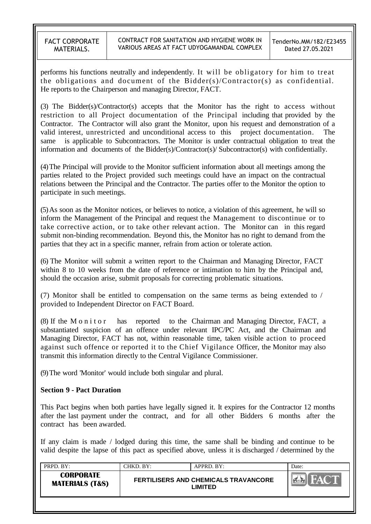performs his functions neutrally and independently. It will be obligatory for him to treat the obligations and document of the Bidder(s)/Contractor(s) as confidential. He reports to the Chairperson and managing Director, FACT.

(3) The Bidder(s)/Contractor(s) accepts that the Monitor has the right to access without restriction to all Project documentation of the Principal including that provided by the Contractor. The Contractor will also grant the Monitor, upon his request and demonstration of a valid interest, unrestricted and unconditional access to this project documentation. The same is applicable to Subcontractors. The Monitor is under contractual obligation to treat the information and documents of the Bidder(s)/Contractor(s)/ Subcontractor(s) with confidentially.

(4)The Principal will provide to the Monitor sufficient information about all meetings among the parties related to the Project provided such meetings could have an impact on the contractual relations between the Principal and the Contractor. The parties offer to the Monitor the option to participate in such meetings.

(5)As soon as the Monitor notices, or believes to notice, a violation of this agreement, he will so inform the Management of the Principal and request the Management to discontinue or to take corrective action, or to take other relevant action. The Monitor can in this regard submit non-binding recommendation. Beyond this, the Monitor has no right to demand from the parties that they act in a specific manner, refrain from action or tolerate action.

(6) The Monitor will submit a written report to the Chairman and Managing Director, FACT within 8 to 10 weeks from the date of reference or intimation to him by the Principal and, should the occasion arise, submit proposals for correcting problematic situations.

(7) Monitor shall be entitled to compensation on the same terms as being extended to / provided to Independent Director on FACT Board.

(8) If the M o n i t o r has reported to the Chairman and Managing Director, FACT, a substantiated suspicion of an offence under relevant IPC/PC Act, and the Chairman and Managing Director, FACT has not, within reasonable time, taken visible action to proceed against such offence or reported it to the Chief Vigilance Officer, the Monitor may also transmit this information directly to the Central Vigilance Commissioner.

(9)The word 'Monitor' would include both singular and plural.

#### **Section 9 - Pact Duration**

This Pact begins when both parties have legally signed it. It expires for the Contractor 12 months after the last payment under the contract, and for all other Bidders 6 months after the contract has been awarded.

If any claim is made / lodged during this time, the same shall be binding and continue to be valid despite the lapse of this pact as specified above, unless it is discharged / determined by the

| PRPD. BY:                                      | CHKD. BY: | APPRD. BY:                                      | Date: |
|------------------------------------------------|-----------|-------------------------------------------------|-------|
| <b>CORPORATE</b><br><b>MATERIALS (T&amp;S)</b> |           | FERTILISERS AND CHEMICALS TRAVANCORE<br>LIMITED |       |